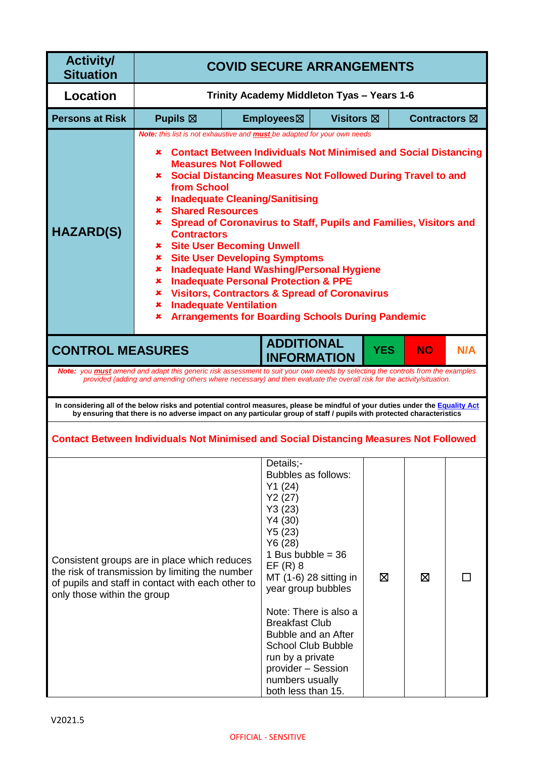| <b>Activity/</b><br><b>Situation</b> | <b>COVID SECURE ARRANGEMENTS</b>                                                                                                                                                                                                                                                                                                                                                                                                                                                                                                                                                                                                                                                                                                                                                                                                                    |                                            |                                                                                                                                                                                                                                                                                                                        |                                                 |            |                      |     |
|--------------------------------------|-----------------------------------------------------------------------------------------------------------------------------------------------------------------------------------------------------------------------------------------------------------------------------------------------------------------------------------------------------------------------------------------------------------------------------------------------------------------------------------------------------------------------------------------------------------------------------------------------------------------------------------------------------------------------------------------------------------------------------------------------------------------------------------------------------------------------------------------------------|--------------------------------------------|------------------------------------------------------------------------------------------------------------------------------------------------------------------------------------------------------------------------------------------------------------------------------------------------------------------------|-------------------------------------------------|------------|----------------------|-----|
| Location                             |                                                                                                                                                                                                                                                                                                                                                                                                                                                                                                                                                                                                                                                                                                                                                                                                                                                     | Trinity Academy Middleton Tyas - Years 1-6 |                                                                                                                                                                                                                                                                                                                        |                                                 |            |                      |     |
| <b>Persons at Risk</b>               | <b>Pupils</b> ⊠                                                                                                                                                                                                                                                                                                                                                                                                                                                                                                                                                                                                                                                                                                                                                                                                                                     |                                            | Employees⊠                                                                                                                                                                                                                                                                                                             | Visitors $π$                                    |            | <b>Contractors</b> ⊠ |     |
| <b>HAZARD(S)</b>                     | Note: this list is not exhaustive and <b>must</b> be adapted for your own needs<br><b>Contact Between Individuals Not Minimised and Social Distancing</b><br>×<br><b>Measures Not Followed</b><br><b>* Social Distancing Measures Not Followed During Travel to and</b><br>from School<br><b>Inadequate Cleaning/Sanitising</b><br>×<br><b>Shared Resources</b><br>×<br><b>*</b> Spread of Coronavirus to Staff, Pupils and Families, Visitors and<br><b>Contractors</b><br><b>*</b> Site User Becoming Unwell<br><b>Site User Developing Symptoms</b><br>×<br><b>Inadequate Hand Washing/Personal Hygiene</b><br>×<br><b>Inadequate Personal Protection &amp; PPE</b><br>×<br><b>Visitors, Contractors &amp; Spread of Coronavirus</b><br>×<br><b>Inadequate Ventilation</b><br>×<br><b>Arrangements for Boarding Schools During Pandemic</b><br>× |                                            |                                                                                                                                                                                                                                                                                                                        |                                                 |            |                      |     |
| <b>CONTROL MEASURES</b>              |                                                                                                                                                                                                                                                                                                                                                                                                                                                                                                                                                                                                                                                                                                                                                                                                                                                     |                                            | <b>ADDITIONAL</b><br><b>INFORMATION</b>                                                                                                                                                                                                                                                                                |                                                 | <b>YES</b> | <b>NO</b>            | N/A |
|                                      | <b>Note:</b> you <b>must</b> amend and adapt this generic risk assessment to suit your own needs by selecting the controls from the examples<br>provided (adding and amending others where necessary) and then evaluate the overall risk for the activity/situation.                                                                                                                                                                                                                                                                                                                                                                                                                                                                                                                                                                                |                                            |                                                                                                                                                                                                                                                                                                                        |                                                 |            |                      |     |
|                                      | In considering all of the below risks and potential control measures, please be mindful of your duties under the Equality Act<br>by ensuring that there is no adverse impact on any particular group of staff / pupils with protected characteristics                                                                                                                                                                                                                                                                                                                                                                                                                                                                                                                                                                                               |                                            |                                                                                                                                                                                                                                                                                                                        |                                                 |            |                      |     |
|                                      | <b>Contact Between Individuals Not Minimised and Social Distancing Measures Not Followed</b>                                                                                                                                                                                                                                                                                                                                                                                                                                                                                                                                                                                                                                                                                                                                                        |                                            |                                                                                                                                                                                                                                                                                                                        |                                                 |            |                      |     |
| only those within the group          | Consistent groups are in place which reduces<br>the risk of transmission by limiting the number<br>of pupils and staff in contact with each other to                                                                                                                                                                                                                                                                                                                                                                                                                                                                                                                                                                                                                                                                                                |                                            | Details;-<br>Bubbles as follows:<br>Y1(24)<br>Y2(27)<br>Y3(23)<br>Y4(30)<br>Y5(23)<br>Y6(28)<br>1 Bus bubble = $36$<br>$EF(R)$ 8<br>year group bubbles<br><b>Breakfast Club</b><br>Bubble and an After<br><b>School Club Bubble</b><br>run by a private<br>provider - Session<br>numbers usually<br>both less than 15. | MT (1-6) 28 sitting in<br>Note: There is also a | ⊠          | ⊠                    |     |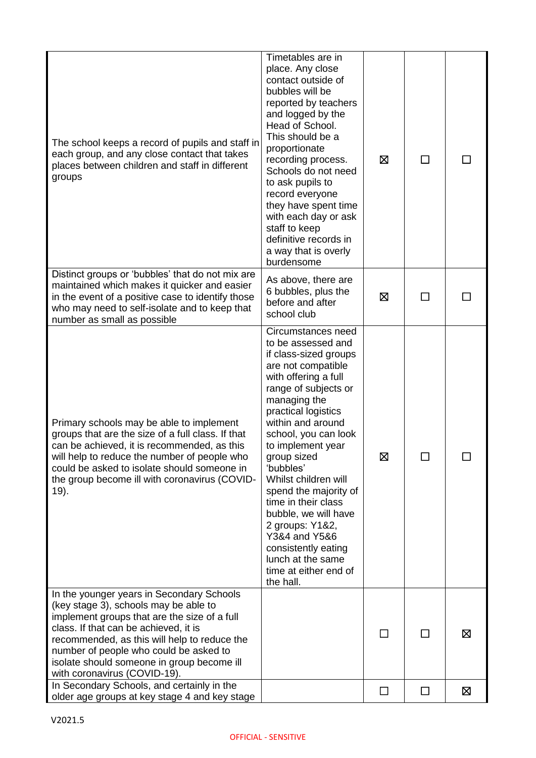| The school keeps a record of pupils and staff in<br>each group, and any close contact that takes<br>places between children and staff in different<br>groups                                                                                                                                                                                        | Timetables are in<br>place. Any close<br>contact outside of<br>bubbles will be<br>reported by teachers<br>and logged by the<br>Head of School.<br>This should be a<br>proportionate<br>recording process.<br>Schools do not need<br>to ask pupils to<br>record everyone<br>they have spent time<br>with each day or ask<br>staff to keep<br>definitive records in<br>a way that is overly<br>burdensome                                                                                            | ⊠            | П              |   |
|-----------------------------------------------------------------------------------------------------------------------------------------------------------------------------------------------------------------------------------------------------------------------------------------------------------------------------------------------------|----------------------------------------------------------------------------------------------------------------------------------------------------------------------------------------------------------------------------------------------------------------------------------------------------------------------------------------------------------------------------------------------------------------------------------------------------------------------------------------------------|--------------|----------------|---|
| Distinct groups or 'bubbles' that do not mix are<br>maintained which makes it quicker and easier<br>in the event of a positive case to identify those<br>who may need to self-isolate and to keep that<br>number as small as possible                                                                                                               | As above, there are<br>6 bubbles, plus the<br>before and after<br>school club                                                                                                                                                                                                                                                                                                                                                                                                                      | ⊠            |                |   |
| Primary schools may be able to implement<br>groups that are the size of a full class. If that<br>can be achieved, it is recommended, as this<br>will help to reduce the number of people who<br>could be asked to isolate should someone in<br>the group become ill with coronavirus (COVID-<br>19).                                                | Circumstances need<br>to be assessed and<br>if class-sized groups<br>are not compatible<br>with offering a full<br>range of subjects or<br>managing the<br>practical logistics<br>within and around<br>school, you can look<br>to implement year<br>group sized<br>'bubbles'<br>Whilst children will<br>spend the majority of<br>time in their class<br>bubble, we will have<br>2 groups: Y1&2,<br>Y3&4 and Y5&6<br>consistently eating<br>lunch at the same<br>time at either end of<br>the hall. | ⊠            |                |   |
| In the younger years in Secondary Schools<br>(key stage 3), schools may be able to<br>implement groups that are the size of a full<br>class. If that can be achieved, it is<br>recommended, as this will help to reduce the<br>number of people who could be asked to<br>isolate should someone in group become ill<br>with coronavirus (COVID-19). |                                                                                                                                                                                                                                                                                                                                                                                                                                                                                                    | $\mathsf{L}$ | $\blacksquare$ | ⊠ |
| In Secondary Schools, and certainly in the<br>older age groups at key stage 4 and key stage                                                                                                                                                                                                                                                         |                                                                                                                                                                                                                                                                                                                                                                                                                                                                                                    | $\Box$       | $\blacksquare$ | ⊠ |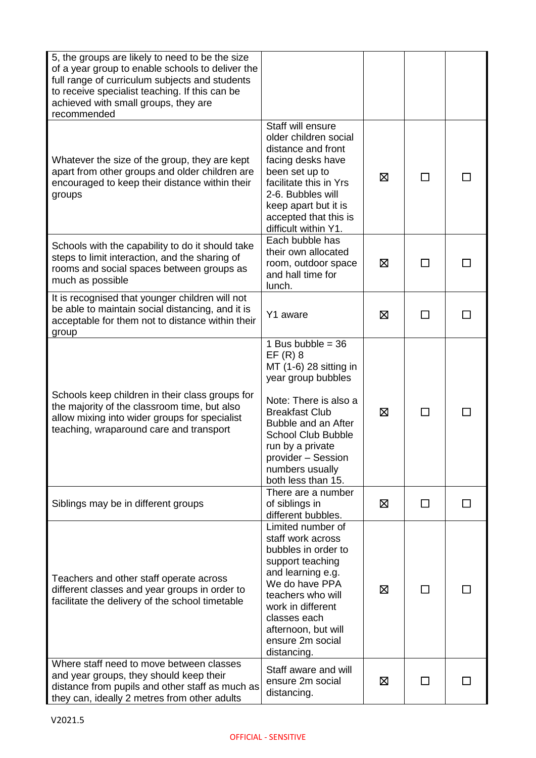| 5, the groups are likely to need to be the size<br>of a year group to enable schools to deliver the<br>full range of curriculum subjects and students<br>to receive specialist teaching. If this can be<br>achieved with small groups, they are<br>recommended |                                                                                                                                                                                                                                                                           |   |              |  |
|----------------------------------------------------------------------------------------------------------------------------------------------------------------------------------------------------------------------------------------------------------------|---------------------------------------------------------------------------------------------------------------------------------------------------------------------------------------------------------------------------------------------------------------------------|---|--------------|--|
| Whatever the size of the group, they are kept<br>apart from other groups and older children are<br>encouraged to keep their distance within their<br>groups                                                                                                    | Staff will ensure<br>older children social<br>distance and front<br>facing desks have<br>been set up to<br>facilitate this in Yrs<br>2-6. Bubbles will<br>keep apart but it is<br>accepted that this is<br>difficult within Y1.                                           | ⊠ |              |  |
| Schools with the capability to do it should take<br>steps to limit interaction, and the sharing of<br>rooms and social spaces between groups as<br>much as possible                                                                                            | Each bubble has<br>their own allocated<br>room, outdoor space<br>and hall time for<br>lunch.                                                                                                                                                                              | ⊠ |              |  |
| It is recognised that younger children will not<br>be able to maintain social distancing, and it is<br>acceptable for them not to distance within their<br>group                                                                                               | Y1 aware                                                                                                                                                                                                                                                                  | ⊠ | $\mathbf{I}$ |  |
| Schools keep children in their class groups for<br>the majority of the classroom time, but also<br>allow mixing into wider groups for specialist<br>teaching, wraparound care and transport                                                                    | 1 Bus bubble = $36$<br>$EF(R)$ 8<br>MT (1-6) 28 sitting in<br>year group bubbles<br>Note: There is also a<br><b>Breakfast Club</b><br>Bubble and an After<br><b>School Club Bubble</b><br>run by a private<br>provider - Session<br>numbers usually<br>both less than 15. | ⊠ | $\mathbf{I}$ |  |
| Siblings may be in different groups                                                                                                                                                                                                                            | There are a number<br>of siblings in<br>different bubbles.                                                                                                                                                                                                                | ⊠ | $\perp$      |  |
| Teachers and other staff operate across<br>different classes and year groups in order to<br>facilitate the delivery of the school timetable                                                                                                                    | Limited number of<br>staff work across<br>bubbles in order to<br>support teaching<br>and learning e.g.<br>We do have PPA<br>teachers who will<br>work in different<br>classes each<br>afternoon, but will<br>ensure 2m social<br>distancing.                              | ⊠ |              |  |
| Where staff need to move between classes<br>and year groups, they should keep their<br>distance from pupils and other staff as much as<br>they can, ideally 2 metres from other adults                                                                         | Staff aware and will<br>ensure 2m social<br>distancing.                                                                                                                                                                                                                   | ⊠ |              |  |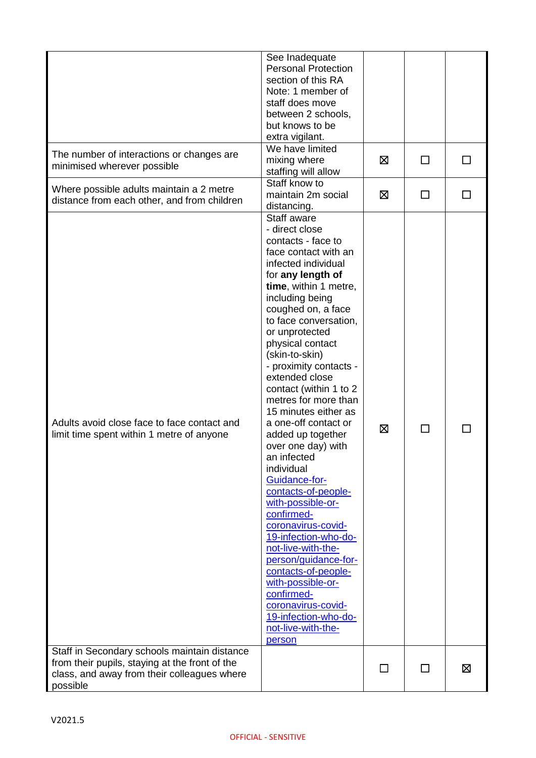| The number of interactions or changes are<br>minimised wherever possible                                                                 | See Inadequate<br><b>Personal Protection</b><br>section of this RA<br>Note: 1 member of<br>staff does move<br>between 2 schools,<br>but knows to be<br>extra vigilant.<br>We have limited<br>mixing where<br>staffing will allow<br>Staff know to                                                                                                                                                                                                                                                                                                                                                                                                                                                                                                                                                               | ⊠      | □            | $\Box$ |
|------------------------------------------------------------------------------------------------------------------------------------------|-----------------------------------------------------------------------------------------------------------------------------------------------------------------------------------------------------------------------------------------------------------------------------------------------------------------------------------------------------------------------------------------------------------------------------------------------------------------------------------------------------------------------------------------------------------------------------------------------------------------------------------------------------------------------------------------------------------------------------------------------------------------------------------------------------------------|--------|--------------|--------|
| Where possible adults maintain a 2 metre<br>distance from each other, and from children                                                  | maintain 2m social<br>distancing.                                                                                                                                                                                                                                                                                                                                                                                                                                                                                                                                                                                                                                                                                                                                                                               | ⊠      | ΙI           |        |
| Adults avoid close face to face contact and<br>limit time spent within 1 metre of anyone<br>Staff in Secondary schools maintain distance | Staff aware<br>- direct close<br>contacts - face to<br>face contact with an<br>infected individual<br>for any length of<br>time, within 1 metre,<br>including being<br>coughed on, a face<br>to face conversation,<br>or unprotected<br>physical contact<br>(skin-to-skin)<br>- proximity contacts -<br>extended close<br>contact (within 1 to 2<br>metres for more than<br>15 minutes either as<br>a one-off contact or<br>added up together<br>over one day) with<br>an infected<br>individual<br>Guidance-for-<br>contacts-of-people-<br>with-possible-or-<br>confirmed-<br>coronavirus-covid-<br>19-infection-who-do-<br>not-live-with-the-<br>person/quidance-for-<br>contacts-of-people-<br>with-possible-or-<br>confirmed-<br>coronavirus-covid-<br>19-infection-who-do-<br>not-live-with-the-<br>person | ⊠      | $\mathbf{L}$ |        |
| from their pupils, staying at the front of the<br>class, and away from their colleagues where<br>possible                                |                                                                                                                                                                                                                                                                                                                                                                                                                                                                                                                                                                                                                                                                                                                                                                                                                 | $\Box$ | □            | ⊠      |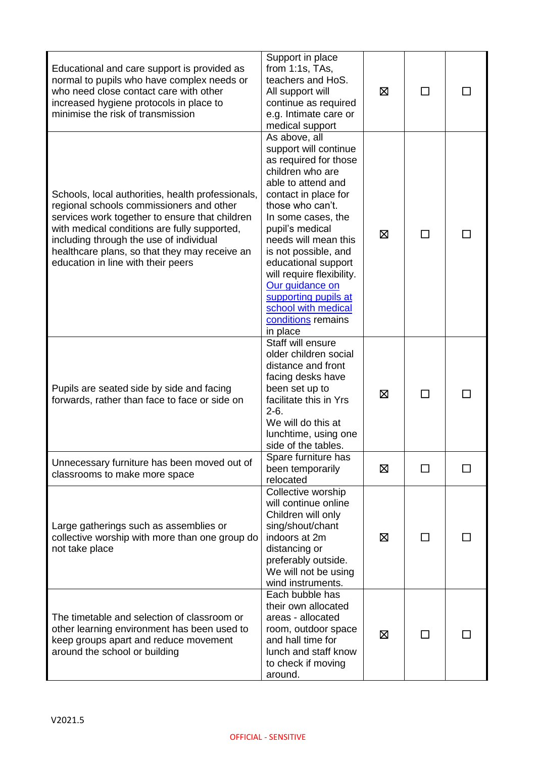| Educational and care support is provided as<br>normal to pupils who have complex needs or<br>who need close contact care with other<br>increased hygiene protocols in place to<br>minimise the risk of transmission                                                                                                               | Support in place<br>from $1:1s$ , TAs,<br>teachers and HoS.<br>All support will<br>continue as required<br>e.g. Intimate care or<br>medical support                                                                                                                                                                                                                                                    | ⊠ | П       |  |
|-----------------------------------------------------------------------------------------------------------------------------------------------------------------------------------------------------------------------------------------------------------------------------------------------------------------------------------|--------------------------------------------------------------------------------------------------------------------------------------------------------------------------------------------------------------------------------------------------------------------------------------------------------------------------------------------------------------------------------------------------------|---|---------|--|
| Schools, local authorities, health professionals,<br>regional schools commissioners and other<br>services work together to ensure that children<br>with medical conditions are fully supported,<br>including through the use of individual<br>healthcare plans, so that they may receive an<br>education in line with their peers | As above, all<br>support will continue<br>as required for those<br>children who are<br>able to attend and<br>contact in place for<br>those who can't.<br>In some cases, the<br>pupil's medical<br>needs will mean this<br>is not possible, and<br>educational support<br>will require flexibility.<br>Our guidance on<br>supporting pupils at<br>school with medical<br>conditions remains<br>in place | ⊠ | П       |  |
| Pupils are seated side by side and facing<br>forwards, rather than face to face or side on                                                                                                                                                                                                                                        | Staff will ensure<br>older children social<br>distance and front<br>facing desks have<br>been set up to<br>facilitate this in Yrs<br>$2-6.$<br>We will do this at<br>lunchtime, using one<br>side of the tables.                                                                                                                                                                                       | ⊠ | П       |  |
| Unnecessary furniture has been moved out of<br>classrooms to make more space                                                                                                                                                                                                                                                      | Spare furniture has<br>been temporarily<br>relocated                                                                                                                                                                                                                                                                                                                                                   | ⊠ | ⊓       |  |
| Large gatherings such as assemblies or<br>collective worship with more than one group do<br>not take place                                                                                                                                                                                                                        | Collective worship<br>will continue online<br>Children will only<br>sing/shout/chant<br>indoors at 2m<br>distancing or<br>preferably outside.<br>We will not be using<br>wind instruments.                                                                                                                                                                                                             | ⊠ | $\perp$ |  |
| The timetable and selection of classroom or<br>other learning environment has been used to<br>keep groups apart and reduce movement<br>around the school or building                                                                                                                                                              | Each bubble has<br>their own allocated<br>areas - allocated<br>room, outdoor space<br>and hall time for<br>lunch and staff know<br>to check if moving<br>around.                                                                                                                                                                                                                                       | ⊠ | ΙI      |  |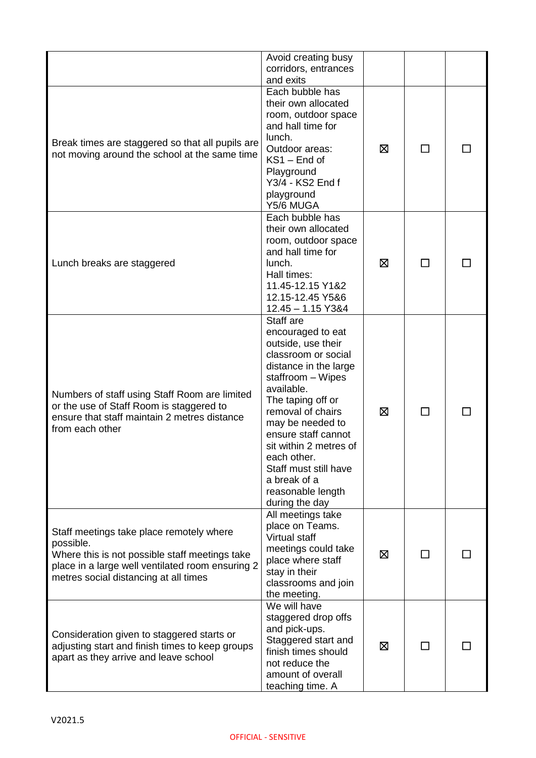|                                                                                                                                                                                                      | Avoid creating busy<br>corridors, entrances<br>and exits                                                                                                                                                                                                                                                                                              |   |    |  |
|------------------------------------------------------------------------------------------------------------------------------------------------------------------------------------------------------|-------------------------------------------------------------------------------------------------------------------------------------------------------------------------------------------------------------------------------------------------------------------------------------------------------------------------------------------------------|---|----|--|
| Break times are staggered so that all pupils are<br>not moving around the school at the same time                                                                                                    | Each bubble has<br>their own allocated<br>room, outdoor space<br>and hall time for<br>lunch.<br>Outdoor areas:<br>KS1 - End of<br>Playground<br>Y3/4 - KS2 End f<br>playground<br>Y5/6 MUGA                                                                                                                                                           | ⊠ |    |  |
| Lunch breaks are staggered                                                                                                                                                                           | Each bubble has<br>their own allocated<br>room, outdoor space<br>and hall time for<br>lunch.<br>Hall times:<br>11.45-12.15 Y1&2<br>12.15-12.45 Y5&6<br>$12.45 - 1.15$ Y3&4                                                                                                                                                                            | ⊠ | П  |  |
| Numbers of staff using Staff Room are limited<br>or the use of Staff Room is staggered to<br>ensure that staff maintain 2 metres distance<br>from each other                                         | Staff are<br>encouraged to eat<br>outside, use their<br>classroom or social<br>distance in the large<br>staffroom - Wipes<br>available.<br>The taping off or<br>removal of chairs<br>may be needed to<br>ensure staff cannot<br>sit within 2 metres of<br>each other.<br>Staff must still have<br>a break of a<br>reasonable length<br>during the day | ⊠ | ΙI |  |
| Staff meetings take place remotely where<br>possible.<br>Where this is not possible staff meetings take<br>place in a large well ventilated room ensuring 2<br>metres social distancing at all times | All meetings take<br>place on Teams.<br>Virtual staff<br>meetings could take<br>place where staff<br>stay in their<br>classrooms and join<br>the meeting.                                                                                                                                                                                             | ⊠ | ΙI |  |
| Consideration given to staggered starts or<br>adjusting start and finish times to keep groups<br>apart as they arrive and leave school                                                               | We will have<br>staggered drop offs<br>and pick-ups.<br>Staggered start and<br>finish times should<br>not reduce the<br>amount of overall<br>teaching time. A                                                                                                                                                                                         | ⊠ | ΙI |  |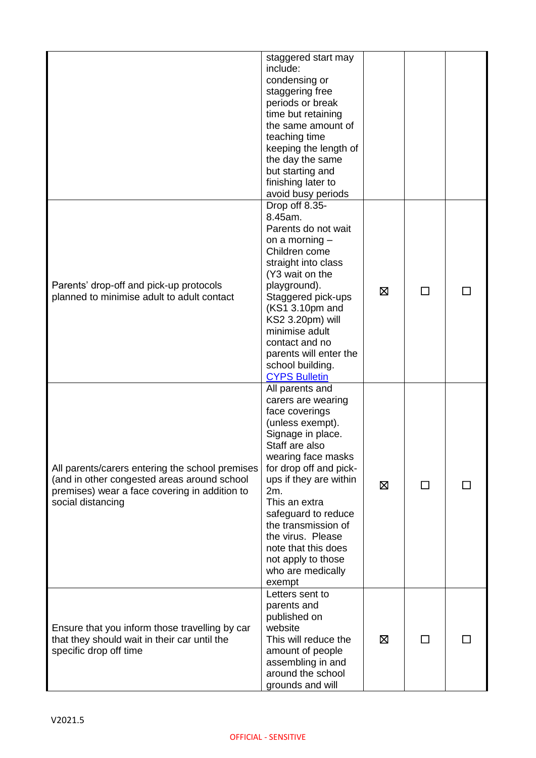|                                                                                                                                                                      | staggered start may<br>include:<br>condensing or<br>staggering free<br>periods or break<br>time but retaining<br>the same amount of<br>teaching time<br>keeping the length of<br>the day the same<br>but starting and<br>finishing later to<br>avoid busy periods                                                                                                   |   |              |  |
|----------------------------------------------------------------------------------------------------------------------------------------------------------------------|---------------------------------------------------------------------------------------------------------------------------------------------------------------------------------------------------------------------------------------------------------------------------------------------------------------------------------------------------------------------|---|--------------|--|
| Parents' drop-off and pick-up protocols<br>planned to minimise adult to adult contact                                                                                | Drop off 8.35-<br>8.45am.<br>Parents do not wait<br>on a morning $-$<br>Children come<br>straight into class<br>(Y3 wait on the<br>playground).<br>Staggered pick-ups<br>(KS1 3.10pm and<br>KS2 3.20pm) will<br>minimise adult<br>contact and no<br>parents will enter the<br>school building.<br><b>CYPS Bulletin</b>                                              | ⊠ |              |  |
| All parents/carers entering the school premises<br>(and in other congested areas around school<br>premises) wear a face covering in addition to<br>social distancing | All parents and<br>carers are wearing<br>face coverings<br>(unless exempt).<br>Signage in place.<br>Staff are also<br>wearing face masks<br>for drop off and pick-<br>ups if they are within<br>2m.<br>This an extra<br>safeguard to reduce<br>the transmission of<br>the virus. Please<br>note that this does<br>not apply to those<br>who are medically<br>exempt | ⊠ | $\mathbf{I}$ |  |
| Ensure that you inform those travelling by car<br>that they should wait in their car until the<br>specific drop off time                                             | Letters sent to<br>parents and<br>published on<br>website<br>This will reduce the<br>amount of people<br>assembling in and<br>around the school<br>grounds and will                                                                                                                                                                                                 | ⊠ |              |  |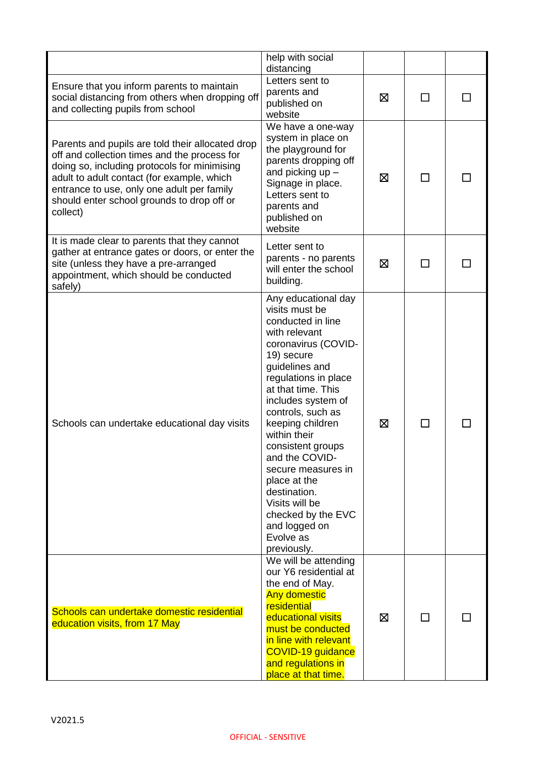|                                                                                                                                                                                                                                                                                                        | help with social<br>distancing                                                                                                                                                                                                                                                                                                                                                                                                                    |   |        |  |
|--------------------------------------------------------------------------------------------------------------------------------------------------------------------------------------------------------------------------------------------------------------------------------------------------------|---------------------------------------------------------------------------------------------------------------------------------------------------------------------------------------------------------------------------------------------------------------------------------------------------------------------------------------------------------------------------------------------------------------------------------------------------|---|--------|--|
| Ensure that you inform parents to maintain<br>social distancing from others when dropping off<br>and collecting pupils from school                                                                                                                                                                     | Letters sent to<br>parents and<br>published on<br>website                                                                                                                                                                                                                                                                                                                                                                                         | ⊠ | ΙI     |  |
| Parents and pupils are told their allocated drop<br>off and collection times and the process for<br>doing so, including protocols for minimising<br>adult to adult contact (for example, which<br>entrance to use, only one adult per family<br>should enter school grounds to drop off or<br>collect) | We have a one-way<br>system in place on<br>the playground for<br>parents dropping off<br>and picking $up -$<br>Signage in place.<br>Letters sent to<br>parents and<br>published on<br>website                                                                                                                                                                                                                                                     | ⊠ |        |  |
| It is made clear to parents that they cannot<br>gather at entrance gates or doors, or enter the<br>site (unless they have a pre-arranged<br>appointment, which should be conducted<br>safely)                                                                                                          | Letter sent to<br>parents - no parents<br>will enter the school<br>building.                                                                                                                                                                                                                                                                                                                                                                      | ⊠ |        |  |
| Schools can undertake educational day visits                                                                                                                                                                                                                                                           | Any educational day<br>visits must be<br>conducted in line<br>with relevant<br>coronavirus (COVID-<br>19) secure<br>guidelines and<br>regulations in place<br>at that time. This<br>includes system of<br>controls, such as<br>keeping children<br>within their<br>consistent groups<br>and the COVID-<br>secure measures in<br>place at the<br>destination.<br>Visits will be<br>checked by the EVC<br>and logged on<br>Evolve as<br>previously. | ⊠ | $\Box$ |  |
| Schools can undertake domestic residential<br>education visits, from 17 May                                                                                                                                                                                                                            | We will be attending<br>our Y6 residential at<br>the end of May.<br><b>Any domestic</b><br>residential<br>educational visits<br>must be conducted<br>in line with relevant<br>COVID-19 guidance<br>and regulations in<br>place at that time.                                                                                                                                                                                                      | ⊠ | ΙI     |  |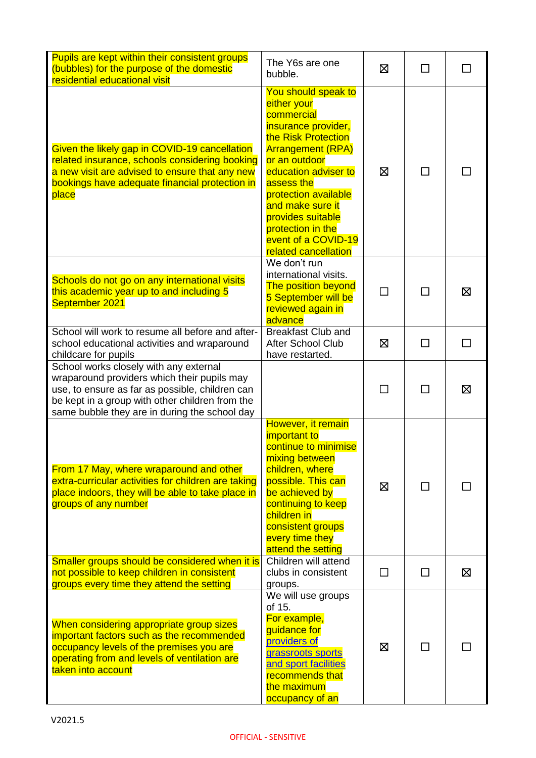| Pupils are kept within their consistent groups<br>(bubbles) for the purpose of the domestic<br>residential educational visit                                                                                                                 | The Y6s are one<br>bubble.                                                                                                                                                                                                                                                                                             | ⊠   | П  |    |
|----------------------------------------------------------------------------------------------------------------------------------------------------------------------------------------------------------------------------------------------|------------------------------------------------------------------------------------------------------------------------------------------------------------------------------------------------------------------------------------------------------------------------------------------------------------------------|-----|----|----|
| Given the likely gap in COVID-19 cancellation<br>related insurance, schools considering booking<br>a new visit are advised to ensure that any new<br>bookings have adequate financial protection in<br>place                                 | You should speak to<br>either your<br>commercial<br>insurance provider,<br>the Risk Protection<br><b>Arrangement (RPA)</b><br>or an outdoor<br>education adviser to<br>assess the<br>protection available<br>and make sure it<br>provides suitable<br>protection in the<br>event of a COVID-19<br>related cancellation | X   | l. |    |
| Schools do not go on any international visits<br>this academic year up to and including 5<br>September 2021                                                                                                                                  | We don't run<br>international visits.<br><b>The position beyond</b><br>5 September will be<br>reviewed again in<br>advance                                                                                                                                                                                             |     |    | 区  |
| School will work to resume all before and after-<br>school educational activities and wraparound<br>childcare for pupils                                                                                                                     | <b>Breakfast Club and</b><br><b>After School Club</b><br>have restarted.                                                                                                                                                                                                                                               | 冈   | П  | ΙI |
| School works closely with any external<br>wraparound providers which their pupils may<br>use, to ensure as far as possible, children can<br>be kept in a group with other children from the<br>same bubble they are in during the school day |                                                                                                                                                                                                                                                                                                                        |     |    | ⊠  |
| From 17 May, where wraparound and other<br>extra-curricular activities for children are taking<br>place indoors, they will be able to take place in<br>groups of any number                                                                  | However, it remain<br>important to<br>continue to minimise<br>mixing between<br>children, where<br>possible. This can<br>be achieved by<br>continuing to keep<br>children in<br>consistent groups<br>every time they<br>attend the setting                                                                             | ⊠   |    |    |
| Smaller groups should be considered when it is<br>not possible to keep children in consistent<br>groups every time they attend the setting                                                                                                   | Children will attend<br>clubs in consistent<br>groups.                                                                                                                                                                                                                                                                 | - 1 |    | Σ  |
| When considering appropriate group sizes<br>important factors such as the recommended<br>occupancy levels of the premises you are<br>operating from and levels of ventilation are<br>taken into account                                      | We will use groups<br>of 15.<br>For example,<br>guidance for<br>providers of<br>grassroots sports<br>and sport facilities<br>recommends that<br>the maximum<br>occupancy of an                                                                                                                                         | ⊠   |    |    |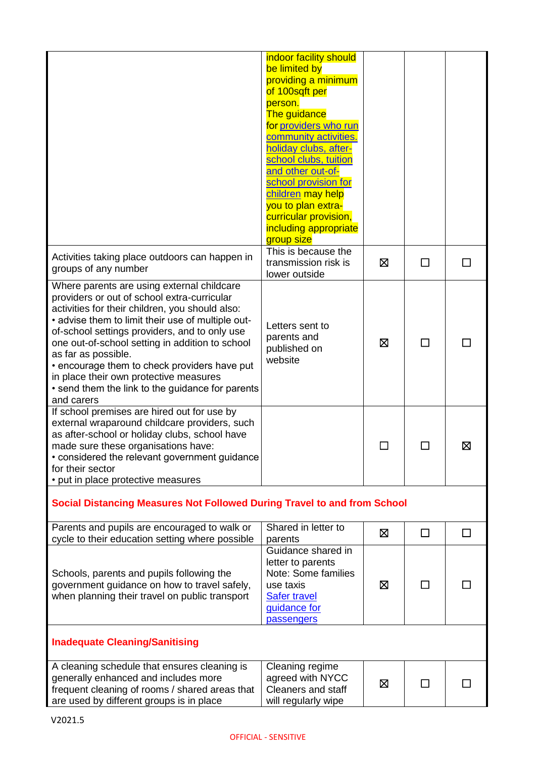|                                                                                                                                                                                                                                                                                                                                                                                                                                                                                          | indoor facility should<br>be limited by<br>providing a minimum<br>of 100sqft per<br>person.<br>The guidance<br>for providers who run<br>community activities.<br>holiday clubs, after-<br>school clubs, tuition<br>and other out-of-<br>school provision for<br>children may help<br>you to plan extra-<br>curricular provision,<br>including appropriate<br>group size |   |    |   |
|------------------------------------------------------------------------------------------------------------------------------------------------------------------------------------------------------------------------------------------------------------------------------------------------------------------------------------------------------------------------------------------------------------------------------------------------------------------------------------------|-------------------------------------------------------------------------------------------------------------------------------------------------------------------------------------------------------------------------------------------------------------------------------------------------------------------------------------------------------------------------|---|----|---|
| Activities taking place outdoors can happen in<br>groups of any number                                                                                                                                                                                                                                                                                                                                                                                                                   | This is because the<br>transmission risk is<br>lower outside                                                                                                                                                                                                                                                                                                            | 区 | П  |   |
| Where parents are using external childcare<br>providers or out of school extra-curricular<br>activities for their children, you should also:<br>• advise them to limit their use of multiple out-<br>of-school settings providers, and to only use<br>one out-of-school setting in addition to school<br>as far as possible.<br>• encourage them to check providers have put<br>in place their own protective measures<br>• send them the link to the guidance for parents<br>and carers | Letters sent to<br>parents and<br>published on<br>website                                                                                                                                                                                                                                                                                                               | ⊠ |    |   |
| If school premises are hired out for use by<br>external wraparound childcare providers, such<br>as after-school or holiday clubs, school have<br>made sure these organisations have:<br>• considered the relevant government guidance<br>for their sector<br>• put in place protective measures                                                                                                                                                                                          |                                                                                                                                                                                                                                                                                                                                                                         |   |    | 区 |
| Social Distancing Measures Not Followed During Travel to and from School                                                                                                                                                                                                                                                                                                                                                                                                                 |                                                                                                                                                                                                                                                                                                                                                                         |   |    |   |
| Parents and pupils are encouraged to walk or<br>cycle to their education setting where possible                                                                                                                                                                                                                                                                                                                                                                                          | Shared in letter to<br>parents                                                                                                                                                                                                                                                                                                                                          | 区 | □  | П |
| Schools, parents and pupils following the<br>government guidance on how to travel safely,<br>when planning their travel on public transport                                                                                                                                                                                                                                                                                                                                              | Guidance shared in<br>letter to parents<br>Note: Some families<br>use taxis<br><b>Safer travel</b><br>guidance for<br><b>passengers</b>                                                                                                                                                                                                                                 | ⊠ | ΙI |   |
| <b>Inadequate Cleaning/Sanitising</b>                                                                                                                                                                                                                                                                                                                                                                                                                                                    |                                                                                                                                                                                                                                                                                                                                                                         |   |    |   |
| A cleaning schedule that ensures cleaning is<br>generally enhanced and includes more<br>frequent cleaning of rooms / shared areas that<br>are used by different groups is in place                                                                                                                                                                                                                                                                                                       | Cleaning regime<br>agreed with NYCC<br><b>Cleaners and staff</b><br>will regularly wipe                                                                                                                                                                                                                                                                                 | 区 | П  |   |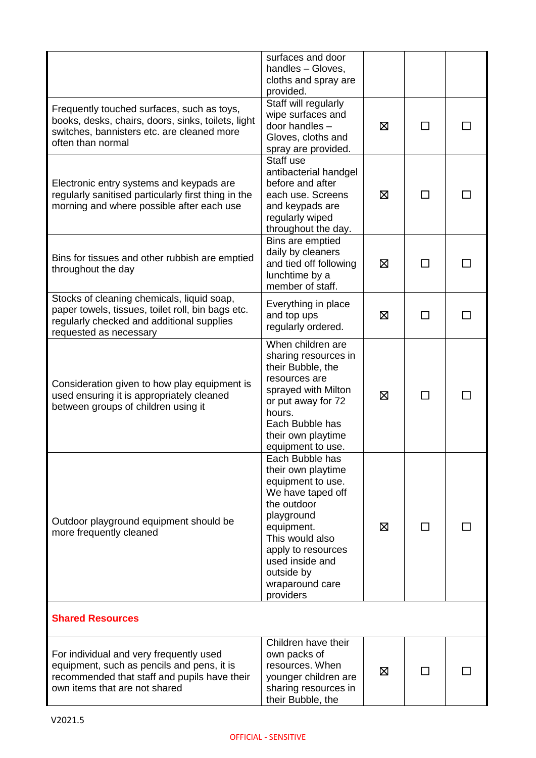|                                                                                                                                                                        | surfaces and door<br>handles - Gloves,<br>cloths and spray are<br>provided.                                                                                                                                                          |   |              |  |
|------------------------------------------------------------------------------------------------------------------------------------------------------------------------|--------------------------------------------------------------------------------------------------------------------------------------------------------------------------------------------------------------------------------------|---|--------------|--|
| Frequently touched surfaces, such as toys,<br>books, desks, chairs, doors, sinks, toilets, light<br>switches, bannisters etc. are cleaned more<br>often than normal    | Staff will regularly<br>wipe surfaces and<br>door handles -<br>Gloves, cloths and<br>spray are provided.                                                                                                                             | 区 |              |  |
| Electronic entry systems and keypads are<br>regularly sanitised particularly first thing in the<br>morning and where possible after each use                           | Staff use<br>antibacterial handgel<br>before and after<br>each use. Screens<br>and keypads are<br>regularly wiped<br>throughout the day.                                                                                             | 区 |              |  |
| Bins for tissues and other rubbish are emptied<br>throughout the day                                                                                                   | Bins are emptied<br>daily by cleaners<br>and tied off following<br>lunchtime by a<br>member of staff.                                                                                                                                | ⊠ |              |  |
| Stocks of cleaning chemicals, liquid soap,<br>paper towels, tissues, toilet roll, bin bags etc.<br>regularly checked and additional supplies<br>requested as necessary | Everything in place<br>and top ups<br>regularly ordered.                                                                                                                                                                             | 区 | ΙI           |  |
| Consideration given to how play equipment is<br>used ensuring it is appropriately cleaned<br>between groups of children using it                                       | When children are<br>sharing resources in<br>their Bubble, the<br>resources are<br>sprayed with Milton<br>or put away for 72<br>hours.<br>Each Bubble has<br>their own playtime<br>equipment to use.                                 | ⊠ |              |  |
| Outdoor playground equipment should be<br>more frequently cleaned                                                                                                      | Each Bubble has<br>their own playtime<br>equipment to use.<br>We have taped off<br>the outdoor<br>playground<br>equipment.<br>This would also<br>apply to resources<br>used inside and<br>outside by<br>wraparound care<br>providers | ⊠ | $\mathsf{L}$ |  |
| <b>Shared Resources</b>                                                                                                                                                |                                                                                                                                                                                                                                      |   |              |  |
| For individual and very frequently used<br>equipment, such as pencils and pens, it is<br>recommended that staff and pupils have their<br>own items that are not shared | Children have their<br>own packs of<br>resources. When<br>younger children are<br>sharing resources in<br>their Bubble, the                                                                                                          | ⊠ |              |  |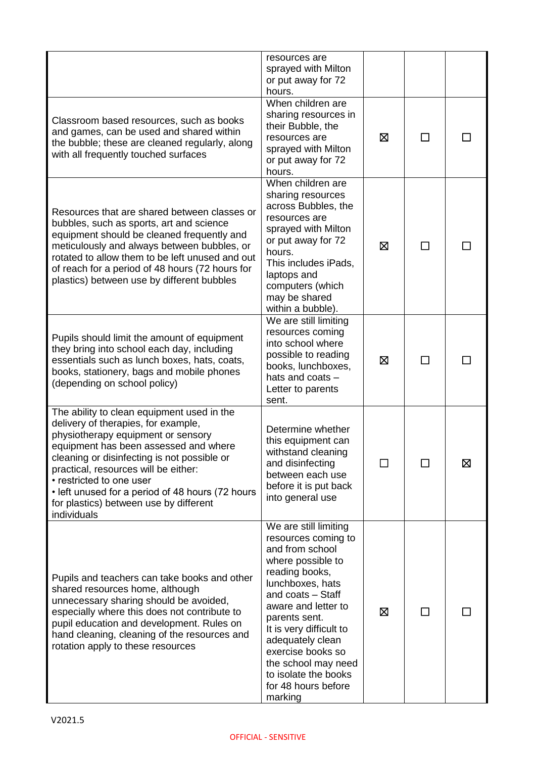|                                                                                                                                                                                                                                                                                                                                                                                                  | resources are<br>sprayed with Milton<br>or put away for 72<br>hours.                                                                                                                                                                                                                                                                         |   |              |   |
|--------------------------------------------------------------------------------------------------------------------------------------------------------------------------------------------------------------------------------------------------------------------------------------------------------------------------------------------------------------------------------------------------|----------------------------------------------------------------------------------------------------------------------------------------------------------------------------------------------------------------------------------------------------------------------------------------------------------------------------------------------|---|--------------|---|
| Classroom based resources, such as books<br>and games, can be used and shared within<br>the bubble; these are cleaned regularly, along<br>with all frequently touched surfaces                                                                                                                                                                                                                   | When children are<br>sharing resources in<br>their Bubble, the<br>resources are<br>sprayed with Milton<br>or put away for 72<br>hours.                                                                                                                                                                                                       | ⊠ | $\mathsf{L}$ |   |
| Resources that are shared between classes or<br>bubbles, such as sports, art and science<br>equipment should be cleaned frequently and<br>meticulously and always between bubbles, or<br>rotated to allow them to be left unused and out<br>of reach for a period of 48 hours (72 hours for<br>plastics) between use by different bubbles                                                        | When children are<br>sharing resources<br>across Bubbles, the<br>resources are<br>sprayed with Milton<br>or put away for 72<br>hours.<br>This includes iPads,<br>laptops and<br>computers (which<br>may be shared<br>within a bubble).                                                                                                       | ⊠ | $\mathbf{I}$ |   |
| Pupils should limit the amount of equipment<br>they bring into school each day, including<br>essentials such as lunch boxes, hats, coats,<br>books, stationery, bags and mobile phones<br>(depending on school policy)                                                                                                                                                                           | We are still limiting<br>resources coming<br>into school where<br>possible to reading<br>books, lunchboxes,<br>hats and coats -<br>Letter to parents<br>sent.                                                                                                                                                                                | ⊠ | П            |   |
| The ability to clean equipment used in the<br>delivery of therapies, for example,<br>physiotherapy equipment or sensory<br>equipment has been assessed and where<br>cleaning or disinfecting is not possible or<br>practical, resources will be either:<br>• restricted to one user<br>• left unused for a period of 48 hours (72 hours<br>for plastics) between use by different<br>individuals | Determine whether<br>this equipment can<br>withstand cleaning<br>and disinfecting<br>between each use<br>before it is put back<br>into general use                                                                                                                                                                                           | П | П            | 区 |
| Pupils and teachers can take books and other<br>shared resources home, although<br>unnecessary sharing should be avoided,<br>especially where this does not contribute to<br>pupil education and development. Rules on<br>hand cleaning, cleaning of the resources and<br>rotation apply to these resources                                                                                      | We are still limiting<br>resources coming to<br>and from school<br>where possible to<br>reading books,<br>lunchboxes, hats<br>and coats - Staff<br>aware and letter to<br>parents sent.<br>It is very difficult to<br>adequately clean<br>exercise books so<br>the school may need<br>to isolate the books<br>for 48 hours before<br>marking | ⊠ | П            |   |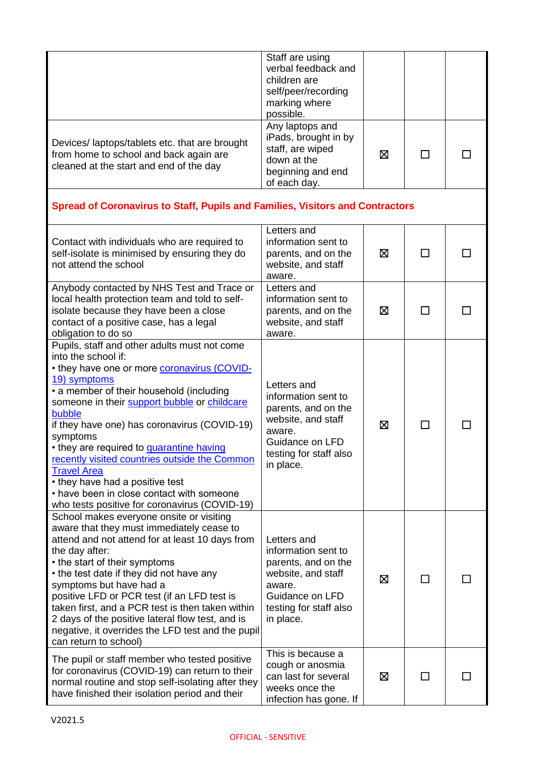|                                                                                   | Staff are using      |   |  |
|-----------------------------------------------------------------------------------|----------------------|---|--|
|                                                                                   |                      |   |  |
|                                                                                   | verbal feedback and  |   |  |
|                                                                                   | children are         |   |  |
|                                                                                   | self/peer/recording  |   |  |
|                                                                                   | marking where        |   |  |
|                                                                                   | possible.            |   |  |
|                                                                                   | Any laptops and      |   |  |
|                                                                                   | iPads, brought in by |   |  |
| Devices/laptops/tablets etc. that are brought                                     | staff, are wiped     |   |  |
| from home to school and back again are<br>cleaned at the start and end of the day | down at the          | ⊠ |  |
|                                                                                   |                      |   |  |
|                                                                                   | beginning and end    |   |  |
|                                                                                   | of each day.         |   |  |

## **Spread of Coronavirus to Staff, Pupils and Families, Visitors and Contractors**

| Contact with individuals who are required to<br>self-isolate is minimised by ensuring they do<br>not attend the school                                                                                                                                                                                                                                                                                                                                                                                                                                          | Letters and<br>information sent to<br>parents, and on the<br>website, and staff<br>aware.                                                           | ⊠ | ΙI      |  |
|-----------------------------------------------------------------------------------------------------------------------------------------------------------------------------------------------------------------------------------------------------------------------------------------------------------------------------------------------------------------------------------------------------------------------------------------------------------------------------------------------------------------------------------------------------------------|-----------------------------------------------------------------------------------------------------------------------------------------------------|---|---------|--|
| Anybody contacted by NHS Test and Trace or<br>local health protection team and told to self-<br>isolate because they have been a close<br>contact of a positive case, has a legal<br>obligation to do so                                                                                                                                                                                                                                                                                                                                                        | Letters and<br>information sent to<br>parents, and on the<br>website, and staff<br>aware.                                                           | ⊠ |         |  |
| Pupils, staff and other adults must not come<br>into the school if:<br>• they have one or more <b>coronavirus (COVID-</b><br>19) symptoms<br>• a member of their household (including<br>someone in their support bubble or childcare<br>bubble<br>if they have one) has coronavirus (COVID-19)<br>symptoms<br>• they are required to quarantine having<br>recently visited countries outside the Common<br><b>Travel Area</b><br>• they have had a positive test<br>• have been in close contact with someone<br>who tests positive for coronavirus (COVID-19) | Letters and<br>information sent to<br>parents, and on the<br>website, and staff<br>aware.<br>Guidance on LFD<br>testing for staff also<br>in place. | ⊠ | $\perp$ |  |
| School makes everyone onsite or visiting<br>aware that they must immediately cease to<br>attend and not attend for at least 10 days from<br>the day after:<br>• the start of their symptoms<br>• the test date if they did not have any<br>symptoms but have had a<br>positive LFD or PCR test (if an LFD test is<br>taken first, and a PCR test is then taken within<br>2 days of the positive lateral flow test, and is<br>negative, it overrides the LFD test and the pupil<br>can return to school)                                                         | Letters and<br>information sent to<br>parents, and on the<br>website, and staff<br>aware.<br>Guidance on LFD<br>testing for staff also<br>in place. | 区 | П       |  |
| The pupil or staff member who tested positive<br>for coronavirus (COVID-19) can return to their<br>normal routine and stop self-isolating after they<br>have finished their isolation period and their                                                                                                                                                                                                                                                                                                                                                          | This is because a<br>cough or anosmia<br>can last for several<br>weeks once the<br>infection has gone. If                                           | ⊠ |         |  |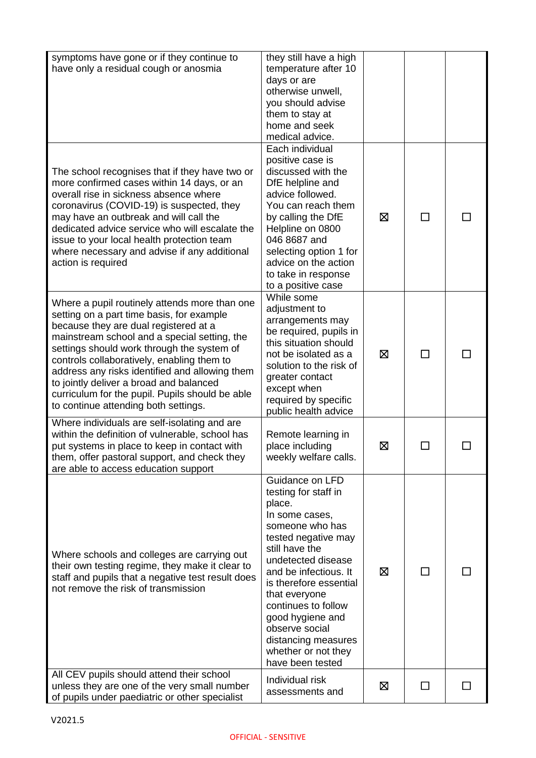| symptoms have gone or if they continue to<br>have only a residual cough or anosmia                                                                                                                                                                                                                                                                                                                                                                                      | they still have a high<br>temperature after 10<br>days or are<br>otherwise unwell,<br>you should advise<br>them to stay at<br>home and seek<br>medical advice.                                                                                                                                                                                           |   |                          |  |
|-------------------------------------------------------------------------------------------------------------------------------------------------------------------------------------------------------------------------------------------------------------------------------------------------------------------------------------------------------------------------------------------------------------------------------------------------------------------------|----------------------------------------------------------------------------------------------------------------------------------------------------------------------------------------------------------------------------------------------------------------------------------------------------------------------------------------------------------|---|--------------------------|--|
| The school recognises that if they have two or<br>more confirmed cases within 14 days, or an<br>overall rise in sickness absence where<br>coronavirus (COVID-19) is suspected, they<br>may have an outbreak and will call the<br>dedicated advice service who will escalate the<br>issue to your local health protection team<br>where necessary and advise if any additional<br>action is required                                                                     | Each individual<br>positive case is<br>discussed with the<br>DfE helpline and<br>advice followed.<br>You can reach them<br>by calling the DfE<br>Helpline on 0800<br>046 8687 and<br>selecting option 1 for<br>advice on the action<br>to take in response<br>to a positive case                                                                         | ⊠ | ΙI                       |  |
| Where a pupil routinely attends more than one<br>setting on a part time basis, for example<br>because they are dual registered at a<br>mainstream school and a special setting, the<br>settings should work through the system of<br>controls collaboratively, enabling them to<br>address any risks identified and allowing them<br>to jointly deliver a broad and balanced<br>curriculum for the pupil. Pupils should be able<br>to continue attending both settings. | While some<br>adjustment to<br>arrangements may<br>be required, pupils in<br>this situation should<br>not be isolated as a<br>solution to the risk of<br>greater contact<br>except when<br>required by specific<br>public health advice                                                                                                                  | ⊠ | $\overline{\phantom{0}}$ |  |
| Where individuals are self-isolating and are<br>within the definition of vulnerable, school has<br>put systems in place to keep in contact with<br>them, offer pastoral support, and check they<br>are able to access education support                                                                                                                                                                                                                                 | Remote learning in<br>place including<br>weekly welfare calls.                                                                                                                                                                                                                                                                                           | ⊠ |                          |  |
| Where schools and colleges are carrying out<br>their own testing regime, they make it clear to<br>staff and pupils that a negative test result does<br>not remove the risk of transmission                                                                                                                                                                                                                                                                              | Guidance on LFD<br>testing for staff in<br>place.<br>In some cases,<br>someone who has<br>tested negative may<br>still have the<br>undetected disease<br>and be infectious. It<br>is therefore essential<br>that everyone<br>continues to follow<br>good hygiene and<br>observe social<br>distancing measures<br>whether or not they<br>have been tested | ⊠ |                          |  |
| All CEV pupils should attend their school<br>unless they are one of the very small number<br>of pupils under paediatric or other specialist                                                                                                                                                                                                                                                                                                                             | Individual risk<br>assessments and                                                                                                                                                                                                                                                                                                                       | ⊠ |                          |  |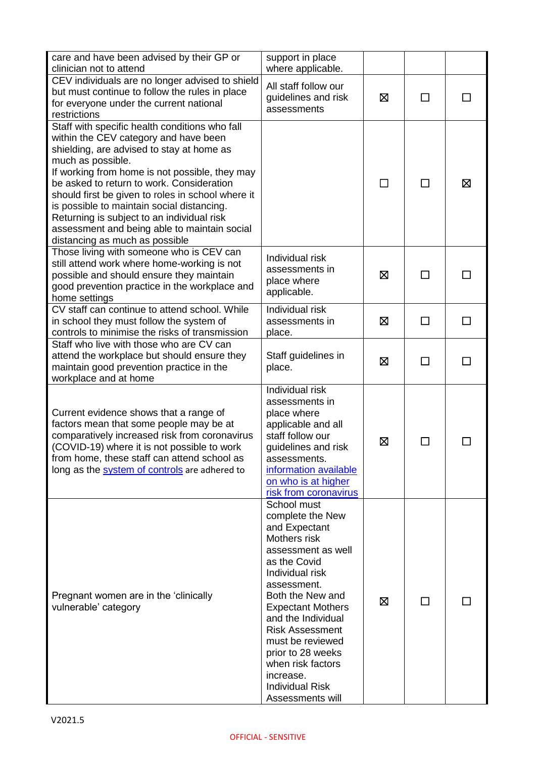| care and have been advised by their GP or<br>clinician not to attend                                                                                                                                                                                                                                                                                                                                                                                                                        | support in place<br>where applicable.                                                                                                                                                                                                                                                                                                                             |   |              |    |
|---------------------------------------------------------------------------------------------------------------------------------------------------------------------------------------------------------------------------------------------------------------------------------------------------------------------------------------------------------------------------------------------------------------------------------------------------------------------------------------------|-------------------------------------------------------------------------------------------------------------------------------------------------------------------------------------------------------------------------------------------------------------------------------------------------------------------------------------------------------------------|---|--------------|----|
| CEV individuals are no longer advised to shield<br>but must continue to follow the rules in place<br>for everyone under the current national<br>restrictions                                                                                                                                                                                                                                                                                                                                | All staff follow our<br>guidelines and risk<br>assessments                                                                                                                                                                                                                                                                                                        | 区 | ΙI           |    |
| Staff with specific health conditions who fall<br>within the CEV category and have been<br>shielding, are advised to stay at home as<br>much as possible.<br>If working from home is not possible, they may<br>be asked to return to work. Consideration<br>should first be given to roles in school where it<br>is possible to maintain social distancing.<br>Returning is subject to an individual risk<br>assessment and being able to maintain social<br>distancing as much as possible |                                                                                                                                                                                                                                                                                                                                                                   |   | ΙI           | ⊠  |
| Those living with someone who is CEV can<br>still attend work where home-working is not<br>possible and should ensure they maintain<br>good prevention practice in the workplace and<br>home settings                                                                                                                                                                                                                                                                                       | Individual risk<br>assessments in<br>place where<br>applicable.                                                                                                                                                                                                                                                                                                   | ⊠ |              |    |
| CV staff can continue to attend school. While<br>in school they must follow the system of<br>controls to minimise the risks of transmission                                                                                                                                                                                                                                                                                                                                                 | Individual risk<br>assessments in<br>place.                                                                                                                                                                                                                                                                                                                       | 区 | □            | ΙI |
| Staff who live with those who are CV can<br>attend the workplace but should ensure they<br>maintain good prevention practice in the<br>workplace and at home                                                                                                                                                                                                                                                                                                                                | Staff guidelines in<br>place.                                                                                                                                                                                                                                                                                                                                     | ⊠ | □            |    |
| Current evidence shows that a range of<br>factors mean that some people may be at<br>comparatively increased risk from coronavirus<br>(COVID-19) where it is not possible to work<br>from home, these staff can attend school as<br>long as the system of controls are adhered to                                                                                                                                                                                                           | Individual risk<br>assessments in<br>place where<br>applicable and all<br>staff follow our<br>guidelines and risk<br>assessments.<br>information available<br>on who is at higher<br>risk from coronavirus                                                                                                                                                        | 区 |              |    |
| Pregnant women are in the 'clinically<br>vulnerable' category                                                                                                                                                                                                                                                                                                                                                                                                                               | School must<br>complete the New<br>and Expectant<br>Mothers risk<br>assessment as well<br>as the Covid<br>Individual risk<br>assessment.<br>Both the New and<br><b>Expectant Mothers</b><br>and the Individual<br><b>Risk Assessment</b><br>must be reviewed<br>prior to 28 weeks<br>when risk factors<br>increase.<br><b>Individual Risk</b><br>Assessments will | ⊠ | $\mathsf{L}$ |    |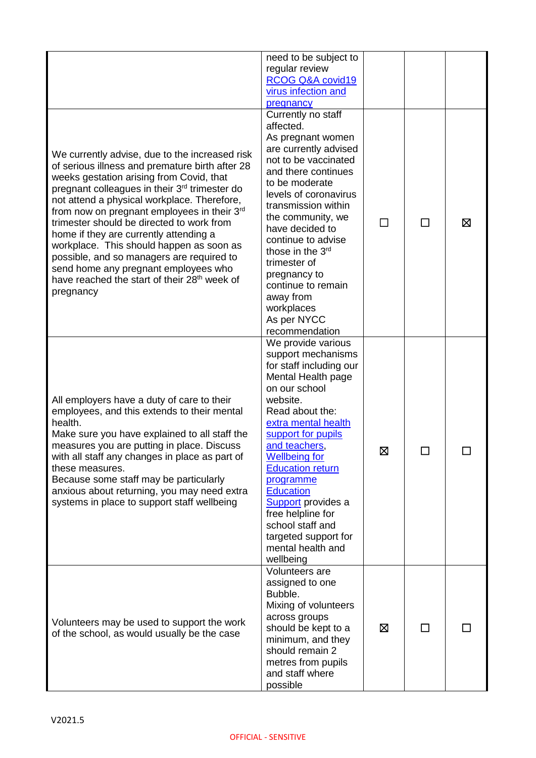|                                                                                                                                                                                                                                                                                                                                                                                                                                                                                                                                                                                                             | need to be subject to<br>regular review<br>RCOG Q&A covid19<br>virus infection and<br>pregnancy                                                                                                                                                                                                                                                                                                                             |   |   |
|-------------------------------------------------------------------------------------------------------------------------------------------------------------------------------------------------------------------------------------------------------------------------------------------------------------------------------------------------------------------------------------------------------------------------------------------------------------------------------------------------------------------------------------------------------------------------------------------------------------|-----------------------------------------------------------------------------------------------------------------------------------------------------------------------------------------------------------------------------------------------------------------------------------------------------------------------------------------------------------------------------------------------------------------------------|---|---|
| We currently advise, due to the increased risk<br>of serious illness and premature birth after 28<br>weeks gestation arising from Covid, that<br>pregnant colleagues in their 3 <sup>rd</sup> trimester do<br>not attend a physical workplace. Therefore,<br>from now on pregnant employees in their $3rd$<br>trimester should be directed to work from<br>home if they are currently attending a<br>workplace. This should happen as soon as<br>possible, and so managers are required to<br>send home any pregnant employees who<br>have reached the start of their 28 <sup>th</sup> week of<br>pregnancy | Currently no staff<br>affected.<br>As pregnant women<br>are currently advised<br>not to be vaccinated<br>and there continues<br>to be moderate<br>levels of coronavirus<br>transmission within<br>the community, we<br>have decided to<br>continue to advise<br>those in the 3 <sup>rd</sup><br>trimester of<br>pregnancy to<br>continue to remain<br>away from<br>workplaces<br>As per NYCC<br>recommendation              |   | 区 |
| All employers have a duty of care to their<br>employees, and this extends to their mental<br>health.<br>Make sure you have explained to all staff the<br>measures you are putting in place. Discuss<br>with all staff any changes in place as part of<br>these measures.<br>Because some staff may be particularly<br>anxious about returning, you may need extra<br>systems in place to support staff wellbeing                                                                                                                                                                                            | We provide various<br>support mechanisms<br>for staff including our<br>Mental Health page<br>on our school<br>website.<br>Read about the:<br>extra mental health<br>support for pupils<br>and teachers,<br><u>Wellbeing for</u><br><b>Education return</b><br>programme<br><b>Education</b><br><b>Support</b> provides a<br>free helpline for<br>school staff and<br>targeted support for<br>mental health and<br>wellbeing | ⊠ |   |
| Volunteers may be used to support the work<br>of the school, as would usually be the case                                                                                                                                                                                                                                                                                                                                                                                                                                                                                                                   | Volunteers are<br>assigned to one<br>Bubble.<br>Mixing of volunteers<br>across groups<br>should be kept to a<br>minimum, and they<br>should remain 2<br>metres from pupils<br>and staff where<br>possible                                                                                                                                                                                                                   | ⊠ |   |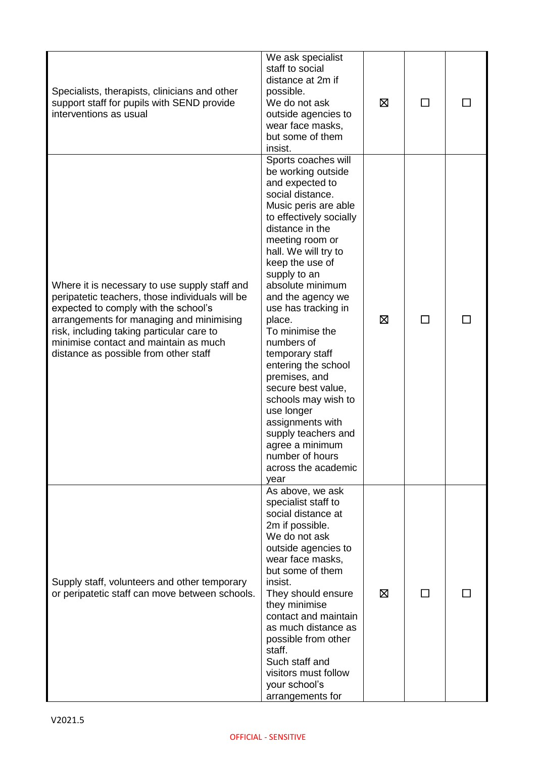| Specialists, therapists, clinicians and other<br>support staff for pupils with SEND provide<br>interventions as usual                                                                                                                                                                                               | We ask specialist<br>staff to social<br>distance at 2m if<br>possible.<br>We do not ask<br>outside agencies to<br>wear face masks,<br>but some of them<br>insist.                                                                                                                                                                                                                                                                                                                                                                                                                     | ⊠ | $\overline{\phantom{a}}$ |  |
|---------------------------------------------------------------------------------------------------------------------------------------------------------------------------------------------------------------------------------------------------------------------------------------------------------------------|---------------------------------------------------------------------------------------------------------------------------------------------------------------------------------------------------------------------------------------------------------------------------------------------------------------------------------------------------------------------------------------------------------------------------------------------------------------------------------------------------------------------------------------------------------------------------------------|---|--------------------------|--|
| Where it is necessary to use supply staff and<br>peripatetic teachers, those individuals will be<br>expected to comply with the school's<br>arrangements for managing and minimising<br>risk, including taking particular care to<br>minimise contact and maintain as much<br>distance as possible from other staff | Sports coaches will<br>be working outside<br>and expected to<br>social distance.<br>Music peris are able<br>to effectively socially<br>distance in the<br>meeting room or<br>hall. We will try to<br>keep the use of<br>supply to an<br>absolute minimum<br>and the agency we<br>use has tracking in<br>place.<br>To minimise the<br>numbers of<br>temporary staff<br>entering the school<br>premises, and<br>secure best value,<br>schools may wish to<br>use longer<br>assignments with<br>supply teachers and<br>agree a minimum<br>number of hours<br>across the academic<br>year | 区 |                          |  |
| Supply staff, volunteers and other temporary<br>or peripatetic staff can move between schools.                                                                                                                                                                                                                      | As above, we ask<br>specialist staff to<br>social distance at<br>2m if possible.<br>We do not ask<br>outside agencies to<br>wear face masks,<br>but some of them<br>insist.<br>They should ensure<br>they minimise<br>contact and maintain<br>as much distance as<br>possible from other<br>staff.<br>Such staff and<br>visitors must follow<br>your school's<br>arrangements for                                                                                                                                                                                                     | ⊠ | $\Box$                   |  |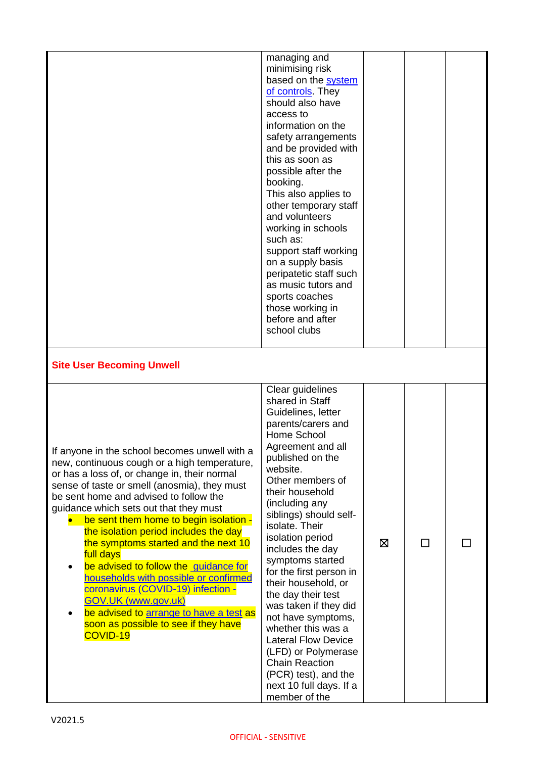| <b>Site User Becoming Unwell</b>                                                                                                                                                                                                                                                                                                                                                                                                    | managing and<br>minimising risk<br>based on the system<br>of controls. They<br>should also have<br>access to<br>information on the<br>safety arrangements<br>and be provided with<br>this as soon as<br>possible after the<br>booking.<br>This also applies to<br>other temporary staff<br>and volunteers<br>working in schools<br>such as:<br>support staff working<br>on a supply basis<br>peripatetic staff such<br>as music tutors and<br>sports coaches<br>those working in<br>before and after<br>school clubs |   |   |  |
|-------------------------------------------------------------------------------------------------------------------------------------------------------------------------------------------------------------------------------------------------------------------------------------------------------------------------------------------------------------------------------------------------------------------------------------|----------------------------------------------------------------------------------------------------------------------------------------------------------------------------------------------------------------------------------------------------------------------------------------------------------------------------------------------------------------------------------------------------------------------------------------------------------------------------------------------------------------------|---|---|--|
| If anyone in the school becomes unwell with a<br>new, continuous cough or a high temperature,<br>or has a loss of, or change in, their normal<br>sense of taste or smell (anosmia), they must<br>be sent home and advised to follow the                                                                                                                                                                                             | Clear guidelines<br>shared in Staff<br>Guidelines, letter<br>parents/carers and<br>Home School<br>Agreement and all<br>published on the<br>website.<br>Other members of<br>their household                                                                                                                                                                                                                                                                                                                           |   |   |  |
| guidance which sets out that they must<br>be sent them home to begin isolation -<br>the isolation period includes the day<br>the symptoms started and the next 10<br>full days<br>be advised to follow the guidance for<br>households with possible or confirmed<br>coronavirus (COVID-19) infection -<br><b>GOV.UK (www.gov.uk)</b><br>be advised to arrange to have a test as<br>soon as possible to see if they have<br>COVID-19 | (including any<br>siblings) should self-<br>isolate. Their<br>isolation period<br>includes the day<br>symptoms started<br>for the first person in<br>their household, or<br>the day their test<br>was taken if they did<br>not have symptoms,<br>whether this was a<br><b>Lateral Flow Device</b><br>(LFD) or Polymerase<br><b>Chain Reaction</b><br>(PCR) test), and the<br>next 10 full days. If a<br>member of the                                                                                                | ⊠ | □ |  |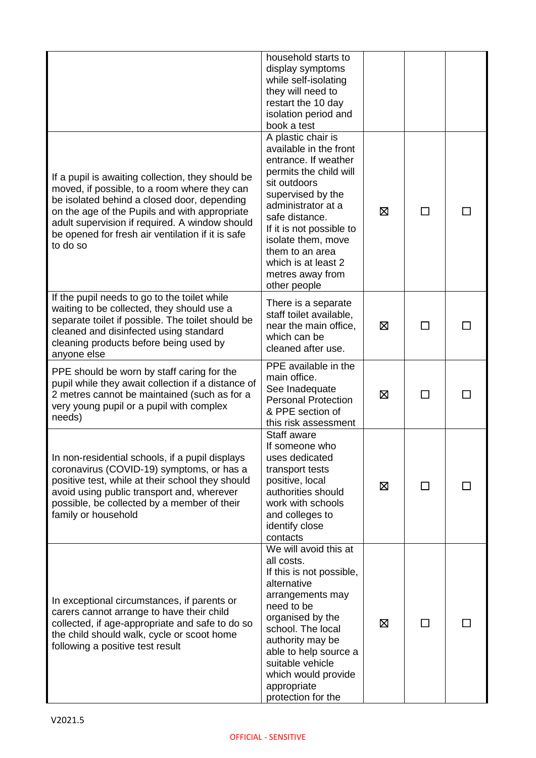|                                                                                                                                                                                                                                                                                                                      | household starts to<br>display symptoms<br>while self-isolating<br>they will need to<br>restart the 10 day<br>isolation period and<br>book a test                                                                                                                                                           |   |                |  |
|----------------------------------------------------------------------------------------------------------------------------------------------------------------------------------------------------------------------------------------------------------------------------------------------------------------------|-------------------------------------------------------------------------------------------------------------------------------------------------------------------------------------------------------------------------------------------------------------------------------------------------------------|---|----------------|--|
| If a pupil is awaiting collection, they should be<br>moved, if possible, to a room where they can<br>be isolated behind a closed door, depending<br>on the age of the Pupils and with appropriate<br>adult supervision if required. A window should<br>be opened for fresh air ventilation if it is safe<br>to do so | A plastic chair is<br>available in the front<br>entrance. If weather<br>permits the child will<br>sit outdoors<br>supervised by the<br>administrator at a<br>safe distance.<br>If it is not possible to<br>isolate them, move<br>them to an area<br>which is at least 2<br>metres away from<br>other people | ⊠ |                |  |
| If the pupil needs to go to the toilet while<br>waiting to be collected, they should use a<br>separate toilet if possible. The toilet should be<br>cleaned and disinfected using standard<br>cleaning products before being used by<br>anyone else                                                                   | There is a separate<br>staff toilet available,<br>near the main office,<br>which can be<br>cleaned after use.                                                                                                                                                                                               | ⊠ |                |  |
| PPE should be worn by staff caring for the<br>pupil while they await collection if a distance of<br>2 metres cannot be maintained (such as for a<br>very young pupil or a pupil with complex<br>needs)                                                                                                               | PPE available in the<br>main office.<br>See Inadequate<br><b>Personal Protection</b><br>& PPE section of<br>this risk assessment                                                                                                                                                                            | ⊠ |                |  |
| In non-residential schools, if a pupil displays<br>coronavirus (COVID-19) symptoms, or has a<br>positive test, while at their school they should<br>avoid using public transport and, wherever<br>possible, be collected by a member of their<br>family or household                                                 | Staff aware<br>If someone who<br>uses dedicated<br>transport tests<br>positive, local<br>authorities should<br>work with schools<br>and colleges to<br>identify close<br>contacts                                                                                                                           | ⊠ |                |  |
| In exceptional circumstances, if parents or<br>carers cannot arrange to have their child<br>collected, if age-appropriate and safe to do so<br>the child should walk, cycle or scoot home<br>following a positive test result                                                                                        | We will avoid this at<br>all costs.<br>If this is not possible,<br>alternative<br>arrangements may<br>need to be<br>organised by the<br>school. The local<br>authority may be<br>able to help source a<br>suitable vehicle<br>which would provide<br>appropriate<br>protection for the                      | ⊠ | $\blacksquare$ |  |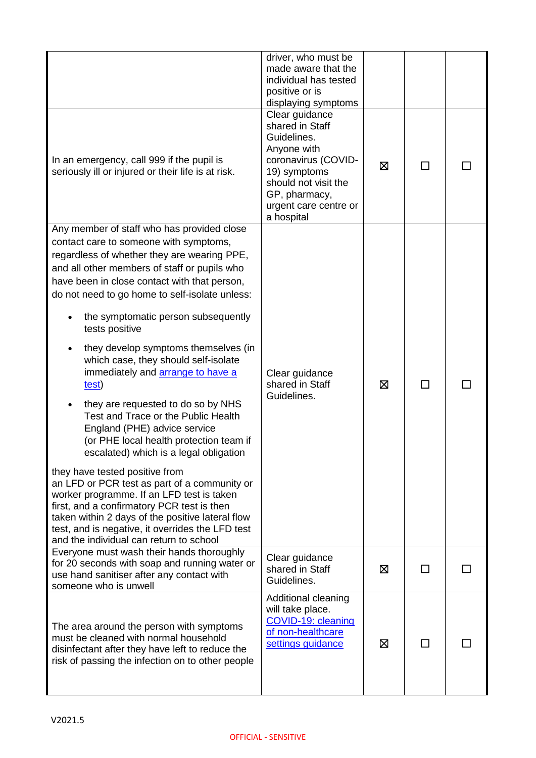|                                                                                                                                                                                                                                                                                                                                                                                                                                                                                                                                                                                                                                                                                                                                                                                                                                                                                                                                                                                                                       | driver, who must be<br>made aware that the<br>individual has tested<br>positive or is<br>displaying symptoms                                                                           |   |        |  |
|-----------------------------------------------------------------------------------------------------------------------------------------------------------------------------------------------------------------------------------------------------------------------------------------------------------------------------------------------------------------------------------------------------------------------------------------------------------------------------------------------------------------------------------------------------------------------------------------------------------------------------------------------------------------------------------------------------------------------------------------------------------------------------------------------------------------------------------------------------------------------------------------------------------------------------------------------------------------------------------------------------------------------|----------------------------------------------------------------------------------------------------------------------------------------------------------------------------------------|---|--------|--|
| In an emergency, call 999 if the pupil is<br>seriously ill or injured or their life is at risk.                                                                                                                                                                                                                                                                                                                                                                                                                                                                                                                                                                                                                                                                                                                                                                                                                                                                                                                       | Clear guidance<br>shared in Staff<br>Guidelines.<br>Anyone with<br>coronavirus (COVID-<br>19) symptoms<br>should not visit the<br>GP, pharmacy,<br>urgent care centre or<br>a hospital | ⊠ | $\Box$ |  |
| Any member of staff who has provided close<br>contact care to someone with symptoms,<br>regardless of whether they are wearing PPE,<br>and all other members of staff or pupils who<br>have been in close contact with that person,<br>do not need to go home to self-isolate unless:<br>the symptomatic person subsequently<br>tests positive<br>they develop symptoms themselves (in<br>which case, they should self-isolate<br>immediately and <b>arrange to have a</b><br>test)<br>they are requested to do so by NHS<br>Test and Trace or the Public Health<br>England (PHE) advice service<br>(or PHE local health protection team if<br>escalated) which is a legal obligation<br>they have tested positive from<br>an LFD or PCR test as part of a community or<br>worker programme. If an LFD test is taken<br>first, and a confirmatory PCR test is then<br>taken within 2 days of the positive lateral flow<br>test, and is negative, it overrides the LFD test<br>and the individual can return to school | Clear guidance<br>shared in Staff<br>Guidelines.                                                                                                                                       | ⊠ |        |  |
| Everyone must wash their hands thoroughly<br>for 20 seconds with soap and running water or<br>use hand sanitiser after any contact with<br>someone who is unwell                                                                                                                                                                                                                                                                                                                                                                                                                                                                                                                                                                                                                                                                                                                                                                                                                                                      | Clear guidance<br>shared in Staff<br>Guidelines.                                                                                                                                       | ⊠ | $\Box$ |  |
| The area around the person with symptoms<br>must be cleaned with normal household<br>disinfectant after they have left to reduce the<br>risk of passing the infection on to other people                                                                                                                                                                                                                                                                                                                                                                                                                                                                                                                                                                                                                                                                                                                                                                                                                              | Additional cleaning<br>will take place.<br>COVID-19: cleaning<br>of non-healthcare<br>settings guidance                                                                                | ⊠ |        |  |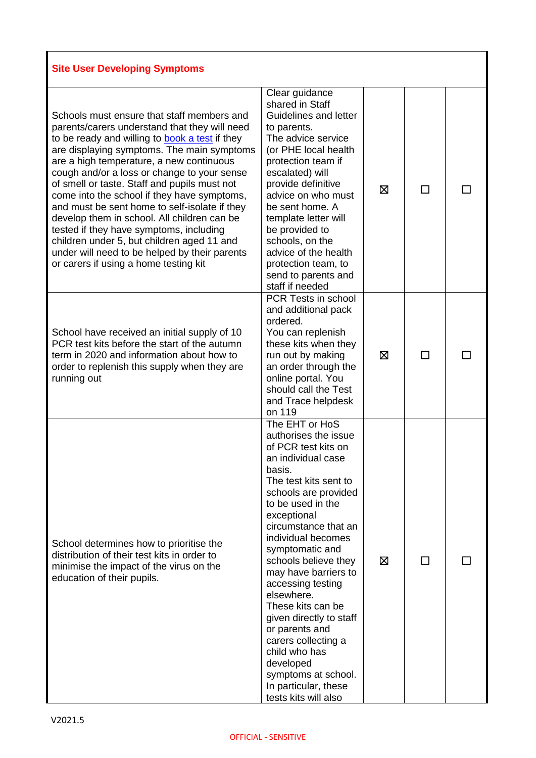| <b>Site User Developing Symptoms</b>                                                                                                                                                                                                                                                                                                                                                                                                                                                                                                                                                                                                                                            |                                                                                                                                                                                                                                                                                                                                                                                                                                                                                                                                      |   |    |  |
|---------------------------------------------------------------------------------------------------------------------------------------------------------------------------------------------------------------------------------------------------------------------------------------------------------------------------------------------------------------------------------------------------------------------------------------------------------------------------------------------------------------------------------------------------------------------------------------------------------------------------------------------------------------------------------|--------------------------------------------------------------------------------------------------------------------------------------------------------------------------------------------------------------------------------------------------------------------------------------------------------------------------------------------------------------------------------------------------------------------------------------------------------------------------------------------------------------------------------------|---|----|--|
| Schools must ensure that staff members and<br>parents/carers understand that they will need<br>to be ready and willing to <b>book a test</b> if they<br>are displaying symptoms. The main symptoms<br>are a high temperature, a new continuous<br>cough and/or a loss or change to your sense<br>of smell or taste. Staff and pupils must not<br>come into the school if they have symptoms,<br>and must be sent home to self-isolate if they<br>develop them in school. All children can be<br>tested if they have symptoms, including<br>children under 5, but children aged 11 and<br>under will need to be helped by their parents<br>or carers if using a home testing kit | Clear guidance<br>shared in Staff<br>Guidelines and letter<br>to parents.<br>The advice service<br>(or PHE local health<br>protection team if<br>escalated) will<br>provide definitive<br>advice on who must<br>be sent home. A<br>template letter will<br>be provided to<br>schools, on the<br>advice of the health<br>protection team, to<br>send to parents and<br>staff if needed                                                                                                                                                | ⊠ | ΙI |  |
| School have received an initial supply of 10<br>PCR test kits before the start of the autumn<br>term in 2020 and information about how to<br>order to replenish this supply when they are<br>running out                                                                                                                                                                                                                                                                                                                                                                                                                                                                        | PCR Tests in school<br>and additional pack<br>ordered.<br>You can replenish<br>these kits when they<br>run out by making<br>an order through the<br>online portal. You<br>should call the Test<br>and Trace helpdesk<br>on 119                                                                                                                                                                                                                                                                                                       | ⊠ | ΙI |  |
| School determines how to prioritise the<br>distribution of their test kits in order to<br>minimise the impact of the virus on the<br>education of their pupils.                                                                                                                                                                                                                                                                                                                                                                                                                                                                                                                 | The EHT or HoS<br>authorises the issue<br>of PCR test kits on<br>an individual case<br>basis.<br>The test kits sent to<br>schools are provided<br>to be used in the<br>exceptional<br>circumstance that an<br>individual becomes<br>symptomatic and<br>schools believe they<br>may have barriers to<br>accessing testing<br>elsewhere.<br>These kits can be<br>given directly to staff<br>or parents and<br>carers collecting a<br>child who has<br>developed<br>symptoms at school.<br>In particular, these<br>tests kits will also | ⊠ |    |  |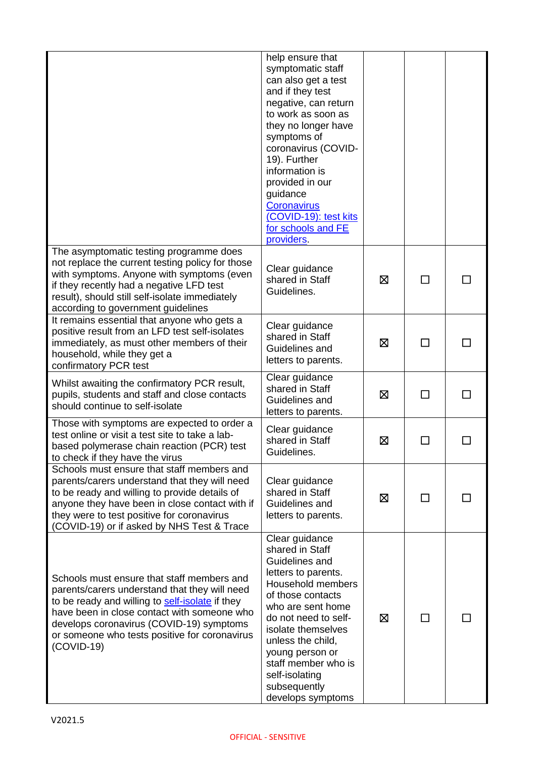|                                                                                                                                                                                                                                                                                                            | help ensure that<br>symptomatic staff<br>can also get a test<br>and if they test<br>negative, can return<br>to work as soon as<br>they no longer have<br>symptoms of<br>coronavirus (COVID-<br>19). Further<br>information is<br>provided in our<br>guidance<br>Coronavirus<br>(COVID-19): test kits<br>for schools and FE<br>providers. |   |              |  |
|------------------------------------------------------------------------------------------------------------------------------------------------------------------------------------------------------------------------------------------------------------------------------------------------------------|------------------------------------------------------------------------------------------------------------------------------------------------------------------------------------------------------------------------------------------------------------------------------------------------------------------------------------------|---|--------------|--|
| The asymptomatic testing programme does<br>not replace the current testing policy for those<br>with symptoms. Anyone with symptoms (even<br>if they recently had a negative LFD test<br>result), should still self-isolate immediately<br>according to government guidelines                               | Clear guidance<br>shared in Staff<br>Guidelines.                                                                                                                                                                                                                                                                                         | ⊠ | П            |  |
| It remains essential that anyone who gets a<br>positive result from an LFD test self-isolates<br>immediately, as must other members of their<br>household, while they get a<br>confirmatory PCR test                                                                                                       | Clear guidance<br>shared in Staff<br>Guidelines and<br>letters to parents.                                                                                                                                                                                                                                                               | ⊠ | $\mathbf{I}$ |  |
| Whilst awaiting the confirmatory PCR result,<br>pupils, students and staff and close contacts<br>should continue to self-isolate                                                                                                                                                                           | Clear guidance<br>shared in Staff<br>Guidelines and<br>letters to parents.                                                                                                                                                                                                                                                               | 区 | $\Box$       |  |
| Those with symptoms are expected to order a<br>test online or visit a test site to take a lab-<br>based polymerase chain reaction (PCR) test<br>to check if they have the virus                                                                                                                            | Clear guidance<br>shared in Staff<br>Guidelines.                                                                                                                                                                                                                                                                                         | ⊠ |              |  |
| Schools must ensure that staff members and<br>parents/carers understand that they will need<br>to be ready and willing to provide details of<br>anyone they have been in close contact with if<br>they were to test positive for coronavirus<br>(COVID-19) or if asked by NHS Test & Trace                 | Clear guidance<br>shared in Staff<br>Guidelines and<br>letters to parents.                                                                                                                                                                                                                                                               | ⊠ | П            |  |
| Schools must ensure that staff members and<br>parents/carers understand that they will need<br>to be ready and willing to self-isolate if they<br>have been in close contact with someone who<br>develops coronavirus (COVID-19) symptoms<br>or someone who tests positive for coronavirus<br>$(COVID-19)$ | Clear guidance<br>shared in Staff<br>Guidelines and<br>letters to parents.<br>Household members<br>of those contacts<br>who are sent home<br>do not need to self-<br>isolate themselves<br>unless the child,<br>young person or<br>staff member who is<br>self-isolating<br>subsequently<br>develops symptoms                            | ⊠ | П            |  |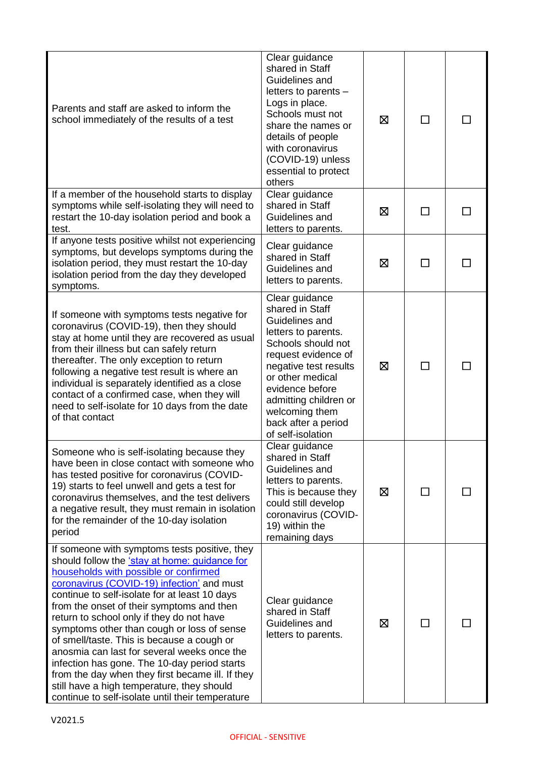| Parents and staff are asked to inform the<br>school immediately of the results of a test                                                                                                                                                                                                                                                                                                                                                                                                                                                                                                                                                                                          | Clear guidance<br>shared in Staff<br>Guidelines and<br>letters to parents -<br>Logs in place.<br>Schools must not<br>share the names or<br>details of people<br>with coronavirus<br>(COVID-19) unless<br>essential to protect<br>others                                        | ⊠ | ΙI     |  |
|-----------------------------------------------------------------------------------------------------------------------------------------------------------------------------------------------------------------------------------------------------------------------------------------------------------------------------------------------------------------------------------------------------------------------------------------------------------------------------------------------------------------------------------------------------------------------------------------------------------------------------------------------------------------------------------|--------------------------------------------------------------------------------------------------------------------------------------------------------------------------------------------------------------------------------------------------------------------------------|---|--------|--|
| If a member of the household starts to display<br>symptoms while self-isolating they will need to<br>restart the 10-day isolation period and book a<br>test.                                                                                                                                                                                                                                                                                                                                                                                                                                                                                                                      | Clear guidance<br>shared in Staff<br>Guidelines and<br>letters to parents.                                                                                                                                                                                                     | ⊠ |        |  |
| If anyone tests positive whilst not experiencing<br>symptoms, but develops symptoms during the<br>isolation period, they must restart the 10-day<br>isolation period from the day they developed<br>symptoms.                                                                                                                                                                                                                                                                                                                                                                                                                                                                     | Clear guidance<br>shared in Staff<br>Guidelines and<br>letters to parents.                                                                                                                                                                                                     | ⊠ | П      |  |
| If someone with symptoms tests negative for<br>coronavirus (COVID-19), then they should<br>stay at home until they are recovered as usual<br>from their illness but can safely return<br>thereafter. The only exception to return<br>following a negative test result is where an<br>individual is separately identified as a close<br>contact of a confirmed case, when they will<br>need to self-isolate for 10 days from the date<br>of that contact                                                                                                                                                                                                                           | Clear guidance<br>shared in Staff<br>Guidelines and<br>letters to parents.<br>Schools should not<br>request evidence of<br>negative test results<br>or other medical<br>evidence before<br>admitting children or<br>welcoming them<br>back after a period<br>of self-isolation | ⊠ | П      |  |
| Someone who is self-isolating because they<br>have been in close contact with someone who<br>has tested positive for coronavirus (COVID-<br>19) starts to feel unwell and gets a test for<br>coronavirus themselves, and the test delivers<br>a negative result, they must remain in isolation<br>for the remainder of the 10-day isolation<br>period                                                                                                                                                                                                                                                                                                                             | Clear guidance<br>shared in Staff<br>Guidelines and<br>letters to parents.<br>This is because they<br>could still develop<br>coronavirus (COVID-<br>19) within the<br>remaining days                                                                                           | 区 | $\Box$ |  |
| If someone with symptoms tests positive, they<br>should follow the 'stay at home: guidance for<br>households with possible or confirmed<br>coronavirus (COVID-19) infection' and must<br>continue to self-isolate for at least 10 days<br>from the onset of their symptoms and then<br>return to school only if they do not have<br>symptoms other than cough or loss of sense<br>of smell/taste. This is because a cough or<br>anosmia can last for several weeks once the<br>infection has gone. The 10-day period starts<br>from the day when they first became ill. If they<br>still have a high temperature, they should<br>continue to self-isolate until their temperature | Clear guidance<br>shared in Staff<br>Guidelines and<br>letters to parents.                                                                                                                                                                                                     | ⊠ | $\sim$ |  |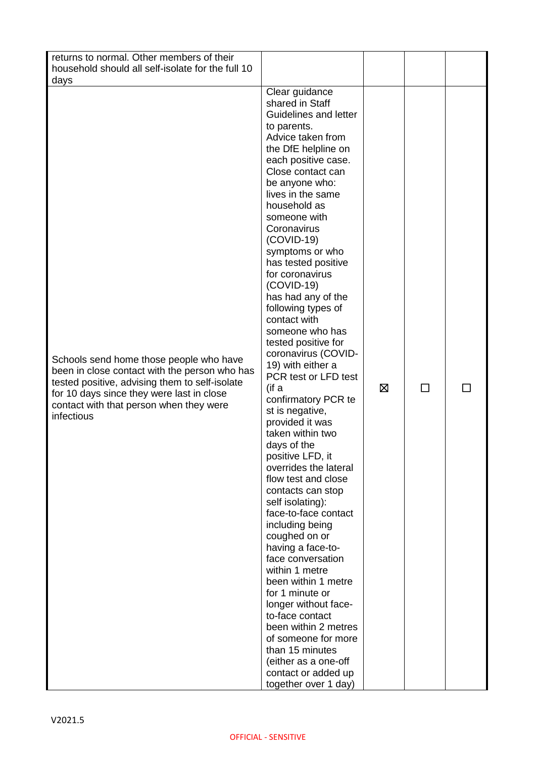| returns to normal. Other members of their<br>household should all self-isolate for the full 10<br>days                                                                                                                                           |                                                                                                                                                                                                                                                                                                                                                                                                                                                                                                                                                                                                                                                                                                                                                                                                                                                                                                                                                                                                                                                                                                            |   |   |  |
|--------------------------------------------------------------------------------------------------------------------------------------------------------------------------------------------------------------------------------------------------|------------------------------------------------------------------------------------------------------------------------------------------------------------------------------------------------------------------------------------------------------------------------------------------------------------------------------------------------------------------------------------------------------------------------------------------------------------------------------------------------------------------------------------------------------------------------------------------------------------------------------------------------------------------------------------------------------------------------------------------------------------------------------------------------------------------------------------------------------------------------------------------------------------------------------------------------------------------------------------------------------------------------------------------------------------------------------------------------------------|---|---|--|
| Schools send home those people who have<br>been in close contact with the person who has<br>tested positive, advising them to self-isolate<br>for 10 days since they were last in close<br>contact with that person when they were<br>infectious | Clear guidance<br>shared in Staff<br>Guidelines and letter<br>to parents.<br>Advice taken from<br>the DfE helpline on<br>each positive case.<br>Close contact can<br>be anyone who:<br>lives in the same<br>household as<br>someone with<br>Coronavirus<br>$(COVID-19)$<br>symptoms or who<br>has tested positive<br>for coronavirus<br>$(COVID-19)$<br>has had any of the<br>following types of<br>contact with<br>someone who has<br>tested positive for<br>coronavirus (COVID-<br>19) with either a<br>PCR test or LFD test<br>(if a<br>confirmatory PCR te<br>st is negative,<br>provided it was<br>taken within two<br>days of the<br>positive LFD, it<br>overrides the lateral<br>flow test and close<br>contacts can stop<br>self isolating):<br>face-to-face contact<br>including being<br>coughed on or<br>having a face-to-<br>face conversation<br>within 1 metre<br>been within 1 metre<br>for 1 minute or<br>longer without face-<br>to-face contact<br>been within 2 metres<br>of someone for more<br>than 15 minutes<br>(either as a one-off<br>contact or added up<br>together over 1 day) | ⊠ | П |  |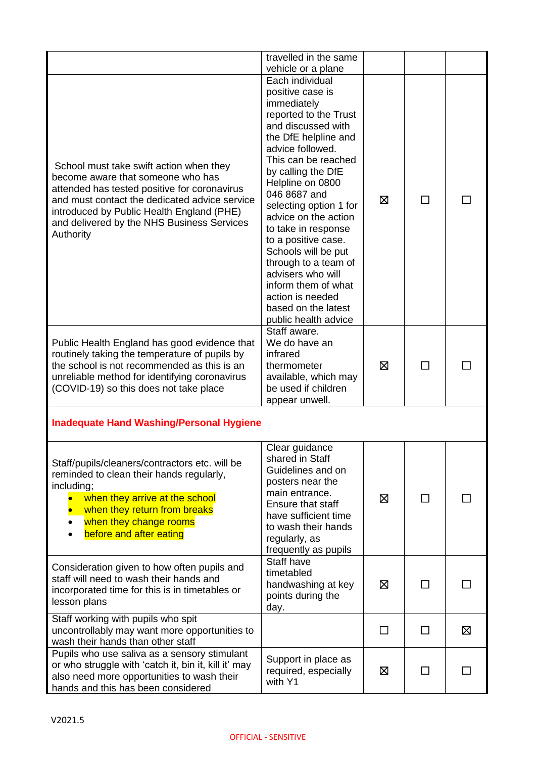|                                                                                                                                                                                                                                                                                       | travelled in the same<br>vehicle or a plane                                                                                                                                                                                                                                                                                                                                                                                                                                                  |              |                          |   |
|---------------------------------------------------------------------------------------------------------------------------------------------------------------------------------------------------------------------------------------------------------------------------------------|----------------------------------------------------------------------------------------------------------------------------------------------------------------------------------------------------------------------------------------------------------------------------------------------------------------------------------------------------------------------------------------------------------------------------------------------------------------------------------------------|--------------|--------------------------|---|
| School must take swift action when they<br>become aware that someone who has<br>attended has tested positive for coronavirus<br>and must contact the dedicated advice service<br>introduced by Public Health England (PHE)<br>and delivered by the NHS Business Services<br>Authority | Each individual<br>positive case is<br>immediately<br>reported to the Trust<br>and discussed with<br>the DfE helpline and<br>advice followed.<br>This can be reached<br>by calling the DfE<br>Helpline on 0800<br>046 8687 and<br>selecting option 1 for<br>advice on the action<br>to take in response<br>to a positive case.<br>Schools will be put<br>through to a team of<br>advisers who will<br>inform them of what<br>action is needed<br>based on the latest<br>public health advice | ⊠            | П                        |   |
| Public Health England has good evidence that<br>routinely taking the temperature of pupils by<br>the school is not recommended as this is an<br>unreliable method for identifying coronavirus<br>(COVID-19) so this does not take place                                               | Staff aware.<br>We do have an<br>infrared<br>thermometer<br>available, which may<br>be used if children<br>appear unwell.                                                                                                                                                                                                                                                                                                                                                                    | ⊠            | $\sim$                   |   |
| <b>Inadequate Hand Washing/Personal Hygiene</b>                                                                                                                                                                                                                                       |                                                                                                                                                                                                                                                                                                                                                                                                                                                                                              |              |                          |   |
| Staff/pupils/cleaners/contractors etc. will be<br>reminded to clean their hands regularly,<br>including;<br>when they arrive at the school<br>when they return from breaks<br>when they change rooms<br>before and after eating                                                       | Clear guidance<br>shared in Staff<br>Guidelines and on<br>posters near the<br>main entrance.<br>Ensure that staff<br>have sufficient time<br>to wash their hands<br>regularly, as<br>frequently as pupils                                                                                                                                                                                                                                                                                    | 区            | П                        |   |
| Consideration given to how often pupils and<br>staff will need to wash their hands and<br>incorporated time for this is in timetables or<br>lesson plans                                                                                                                              | Staff have<br>timetabled<br>handwashing at key<br>points during the<br>day.                                                                                                                                                                                                                                                                                                                                                                                                                  | ⊠            |                          |   |
| Staff working with pupils who spit<br>uncontrollably may want more opportunities to<br>wash their hands than other staff                                                                                                                                                              |                                                                                                                                                                                                                                                                                                                                                                                                                                                                                              | $\mathsf{L}$ | $\mathbf{I}$             | ⊠ |
| Pupils who use saliva as a sensory stimulant<br>or who struggle with 'catch it, bin it, kill it' may<br>also need more opportunities to wash their<br>hands and this has been considered                                                                                              | Support in place as<br>required, especially<br>with Y1                                                                                                                                                                                                                                                                                                                                                                                                                                       | 区            | $\overline{\phantom{a}}$ |   |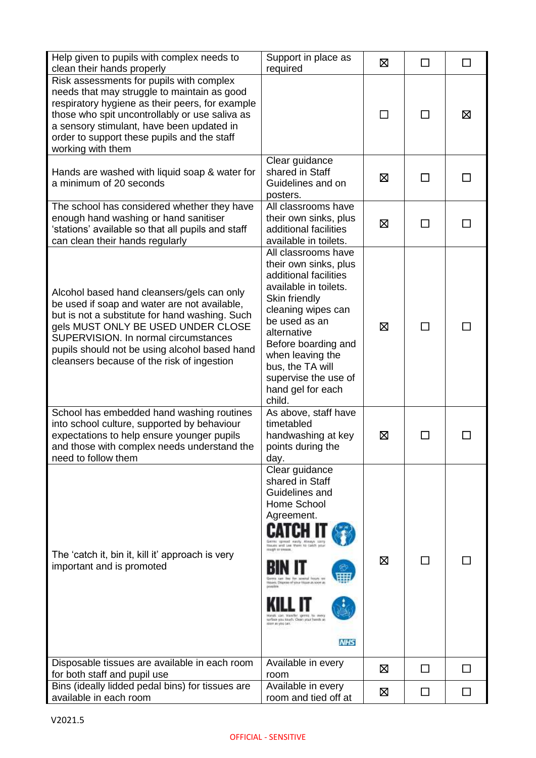| Help given to pupils with complex needs to<br>clean their hands properly                                                                                                                                                                                                                                                  | Support in place as<br>required                                                                                                                                                                                                                                                                                                                   | ⊠ | $\mathsf{L}$  | П  |
|---------------------------------------------------------------------------------------------------------------------------------------------------------------------------------------------------------------------------------------------------------------------------------------------------------------------------|---------------------------------------------------------------------------------------------------------------------------------------------------------------------------------------------------------------------------------------------------------------------------------------------------------------------------------------------------|---|---------------|----|
| Risk assessments for pupils with complex<br>needs that may struggle to maintain as good<br>respiratory hygiene as their peers, for example<br>those who spit uncontrollably or use saliva as<br>a sensory stimulant, have been updated in<br>order to support these pupils and the staff<br>working with them             |                                                                                                                                                                                                                                                                                                                                                   |   |               | ⊠  |
| Hands are washed with liquid soap & water for<br>a minimum of 20 seconds                                                                                                                                                                                                                                                  | Clear guidance<br>shared in Staff<br>Guidelines and on<br>posters.                                                                                                                                                                                                                                                                                | ⊠ | П             |    |
| The school has considered whether they have<br>enough hand washing or hand sanitiser<br>'stations' available so that all pupils and staff<br>can clean their hands regularly                                                                                                                                              | All classrooms have<br>their own sinks, plus<br>additional facilities<br>available in toilets.                                                                                                                                                                                                                                                    | ⊠ | $\mathcal{L}$ |    |
| Alcohol based hand cleansers/gels can only<br>be used if soap and water are not available,<br>but is not a substitute for hand washing. Such<br>gels MUST ONLY BE USED UNDER CLOSE<br>SUPERVISION. In normal circumstances<br>pupils should not be using alcohol based hand<br>cleansers because of the risk of ingestion | All classrooms have<br>their own sinks, plus<br>additional facilities<br>available in toilets.<br>Skin friendly<br>cleaning wipes can<br>be used as an<br>alternative<br>Before boarding and<br>when leaving the<br>bus, the TA will<br>supervise the use of<br>hand gel for each<br>child.                                                       | ⊠ | $\mathbf{I}$  |    |
| School has embedded hand washing routines<br>into school culture, supported by behaviour<br>expectations to help ensure younger pupils<br>and those with complex needs understand the<br>need to follow them                                                                                                              | As above, staff have<br>timetabled<br>handwashing at key<br>points during the<br>day.                                                                                                                                                                                                                                                             | ⊠ |               |    |
| The 'catch it, bin it, kill it' approach is very<br>important and is promoted                                                                                                                                                                                                                                             | Clear guidance<br>shared in Staff<br>Guidelines and<br>Home School<br>Agreement.<br>Gerras spread easily Always samp<br>Houses and Lee them to catch per<br>cough or treasure<br>severtal first-ry ran<br>Useam, Dispese of your Hissen as soon as<br><b>COMMERCIAL</b><br>urbo you touch. Clean your hands at<br>sport as you can.<br><b>NHS</b> | ⊠ | $\mathsf{L}$  |    |
| Disposable tissues are available in each room<br>for both staff and pupil use                                                                                                                                                                                                                                             | Available in every<br>room                                                                                                                                                                                                                                                                                                                        | ⊠ | ΙI            | ΙI |
| Bins (ideally lidded pedal bins) for tissues are<br>available in each room                                                                                                                                                                                                                                                | Available in every<br>room and tied off at                                                                                                                                                                                                                                                                                                        | 区 | I.            |    |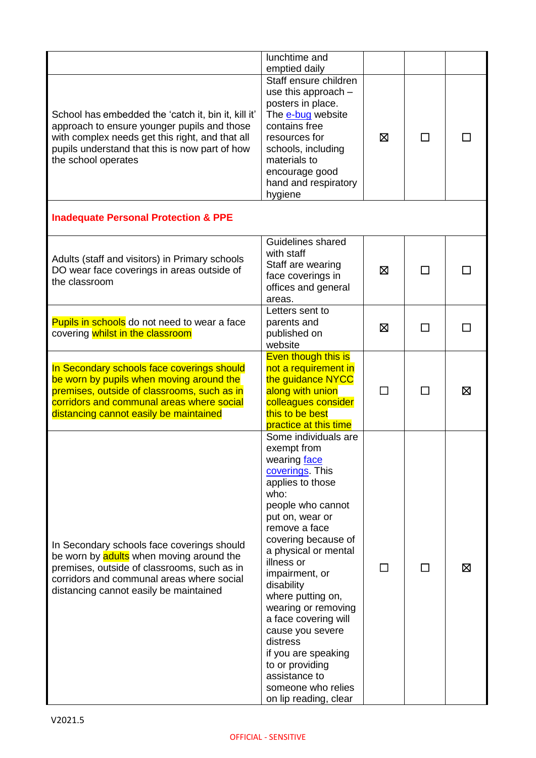|                                                                                                                                                                                                                                | lunchtime and<br>emptied daily                                                                                                                                                                                                                                                                                                                                                                                                                                        |         |              |   |
|--------------------------------------------------------------------------------------------------------------------------------------------------------------------------------------------------------------------------------|-----------------------------------------------------------------------------------------------------------------------------------------------------------------------------------------------------------------------------------------------------------------------------------------------------------------------------------------------------------------------------------------------------------------------------------------------------------------------|---------|--------------|---|
| School has embedded the 'catch it, bin it, kill it'<br>approach to ensure younger pupils and those<br>with complex needs get this right, and that all<br>pupils understand that this is now part of how<br>the school operates | Staff ensure children<br>use this approach -<br>posters in place.<br>The e-bug website<br>contains free<br>resources for<br>schools, including<br>materials to<br>encourage good<br>hand and respiratory<br>hygiene                                                                                                                                                                                                                                                   | ⊠       | ΙI           |   |
| <b>Inadequate Personal Protection &amp; PPE</b>                                                                                                                                                                                |                                                                                                                                                                                                                                                                                                                                                                                                                                                                       |         |              |   |
| Adults (staff and visitors) in Primary schools<br>DO wear face coverings in areas outside of<br>the classroom                                                                                                                  | Guidelines shared<br>with staff<br>Staff are wearing<br>face coverings in<br>offices and general<br>areas.                                                                                                                                                                                                                                                                                                                                                            | ⊠       |              |   |
| Pupils in schools do not need to wear a face<br>covering whilst in the classroom                                                                                                                                               | Letters sent to<br>parents and<br>published on<br>website                                                                                                                                                                                                                                                                                                                                                                                                             | ⊠       | $\mathsf{L}$ |   |
| In Secondary schools face coverings should<br>be worn by pupils when moving around the<br>premises, outside of classrooms, such as in<br>corridors and communal areas where social<br>distancing cannot easily be maintained   | Even though this is<br>not a requirement in<br>the guidance NYCC<br>along with union<br>colleagues consider<br>this to be best<br>practice at this time                                                                                                                                                                                                                                                                                                               | $\perp$ | ΙI           | ⊠ |
| In Secondary schools face coverings should<br>be worn by adults when moving around the<br>premises, outside of classrooms, such as in<br>corridors and communal areas where social<br>distancing cannot easily be maintained   | Some individuals are<br>exempt from<br>wearing face<br>coverings This<br>applies to those<br>who:<br>people who cannot<br>put on, wear or<br>remove a face<br>covering because of<br>a physical or mental<br>illness or<br>impairment, or<br>disability<br>where putting on,<br>wearing or removing<br>a face covering will<br>cause you severe<br>distress<br>if you are speaking<br>to or providing<br>assistance to<br>someone who relies<br>on lip reading, clear |         |              | ⊠ |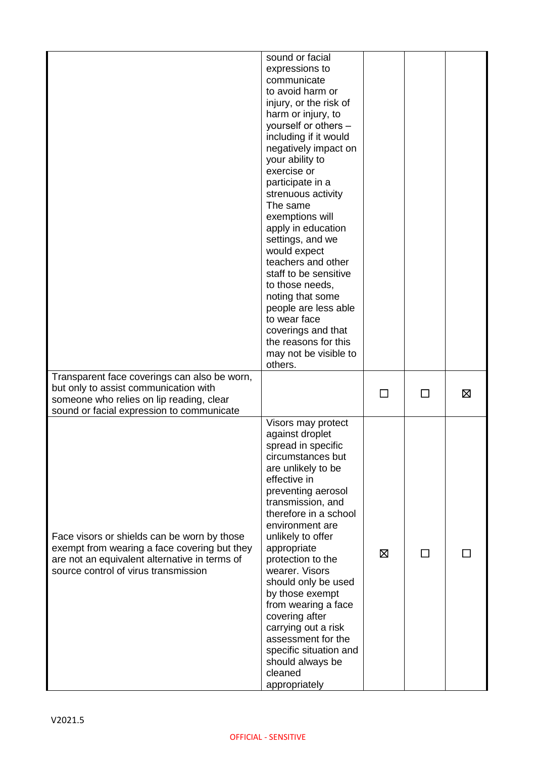|                                                                                                                                                                                      | sound or facial<br>expressions to<br>communicate<br>to avoid harm or<br>injury, or the risk of<br>harm or injury, to<br>yourself or others -<br>including if it would<br>negatively impact on<br>your ability to<br>exercise or<br>participate in a<br>strenuous activity<br>The same<br>exemptions will<br>apply in education<br>settings, and we<br>would expect<br>teachers and other<br>staff to be sensitive<br>to those needs,<br>noting that some<br>people are less able<br>to wear face<br>coverings and that<br>the reasons for this<br>may not be visible to<br>others. |        |              |   |
|--------------------------------------------------------------------------------------------------------------------------------------------------------------------------------------|------------------------------------------------------------------------------------------------------------------------------------------------------------------------------------------------------------------------------------------------------------------------------------------------------------------------------------------------------------------------------------------------------------------------------------------------------------------------------------------------------------------------------------------------------------------------------------|--------|--------------|---|
| Transparent face coverings can also be worn,<br>but only to assist communication with<br>someone who relies on lip reading, clear<br>sound or facial expression to communicate       |                                                                                                                                                                                                                                                                                                                                                                                                                                                                                                                                                                                    | $\Box$ | П            | Ø |
| Face visors or shields can be worn by those<br>exempt from wearing a face covering but they<br>are not an equivalent alternative in terms of<br>source control of virus transmission | Visors may protect<br>against droplet<br>spread in specific<br>circumstances but<br>are unlikely to be<br>effective in<br>preventing aerosol<br>transmission, and<br>therefore in a school<br>environment are<br>unlikely to offer<br>appropriate<br>protection to the<br>wearer. Visors<br>should only be used<br>by those exempt<br>from wearing a face<br>covering after<br>carrying out a risk<br>assessment for the<br>specific situation and<br>should always be<br>cleaned<br>appropriately                                                                                 | ⊠      | $\mathsf{L}$ |   |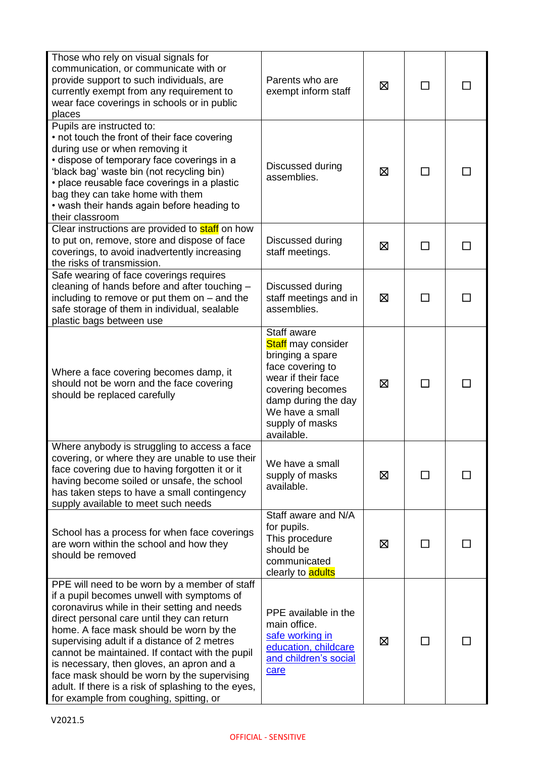| Those who rely on visual signals for<br>communication, or communicate with or<br>provide support to such individuals, are<br>currently exempt from any requirement to<br>wear face coverings in schools or in public<br>places                                                                                                                                                                                                                                                                                                       | Parents who are<br>exempt inform staff                                                                                                                                                                | ⊠ | ΙI                       |    |
|--------------------------------------------------------------------------------------------------------------------------------------------------------------------------------------------------------------------------------------------------------------------------------------------------------------------------------------------------------------------------------------------------------------------------------------------------------------------------------------------------------------------------------------|-------------------------------------------------------------------------------------------------------------------------------------------------------------------------------------------------------|---|--------------------------|----|
| Pupils are instructed to:<br>• not touch the front of their face covering<br>during use or when removing it<br>· dispose of temporary face coverings in a<br>'black bag' waste bin (not recycling bin)<br>• place reusable face coverings in a plastic<br>bag they can take home with them<br>• wash their hands again before heading to<br>their classroom                                                                                                                                                                          | Discussed during<br>assemblies.                                                                                                                                                                       | ⊠ | $\overline{\phantom{0}}$ |    |
| Clear instructions are provided to <b>staff</b> on how<br>to put on, remove, store and dispose of face<br>coverings, to avoid inadvertently increasing<br>the risks of transmission.                                                                                                                                                                                                                                                                                                                                                 | Discussed during<br>staff meetings.                                                                                                                                                                   | ⊠ | П                        | ΙI |
| Safe wearing of face coverings requires<br>cleaning of hands before and after touching -<br>including to remove or put them on $-$ and the<br>safe storage of them in individual, sealable<br>plastic bags between use                                                                                                                                                                                                                                                                                                               | Discussed during<br>staff meetings and in<br>assemblies.                                                                                                                                              | ⊠ | ΙI                       |    |
| Where a face covering becomes damp, it<br>should not be worn and the face covering<br>should be replaced carefully                                                                                                                                                                                                                                                                                                                                                                                                                   | Staff aware<br><b>Staff</b> may consider<br>bringing a spare<br>face covering to<br>wear if their face<br>covering becomes<br>damp during the day<br>We have a small<br>supply of masks<br>available. | ⊠ |                          |    |
| Where anybody is struggling to access a face<br>covering, or where they are unable to use their<br>face covering due to having forgotten it or it<br>having become soiled or unsafe, the school<br>has taken steps to have a small contingency<br>supply available to meet such needs                                                                                                                                                                                                                                                | We have a small<br>supply of masks<br>available.                                                                                                                                                      | ⊠ |                          |    |
| School has a process for when face coverings<br>are worn within the school and how they<br>should be removed                                                                                                                                                                                                                                                                                                                                                                                                                         | Staff aware and N/A<br>for pupils.<br>This procedure<br>should be<br>communicated<br>clearly to <b>adults</b>                                                                                         | ⊠ | ΙI                       |    |
| PPE will need to be worn by a member of staff<br>if a pupil becomes unwell with symptoms of<br>coronavirus while in their setting and needs<br>direct personal care until they can return<br>home. A face mask should be worn by the<br>supervising adult if a distance of 2 metres<br>cannot be maintained. If contact with the pupil<br>is necessary, then gloves, an apron and a<br>face mask should be worn by the supervising<br>adult. If there is a risk of splashing to the eyes,<br>for example from coughing, spitting, or | PPE available in the<br>main office.<br>safe working in<br>education, childcare<br>and children's social<br>care                                                                                      | ⊠ | $\mathsf{L}$             |    |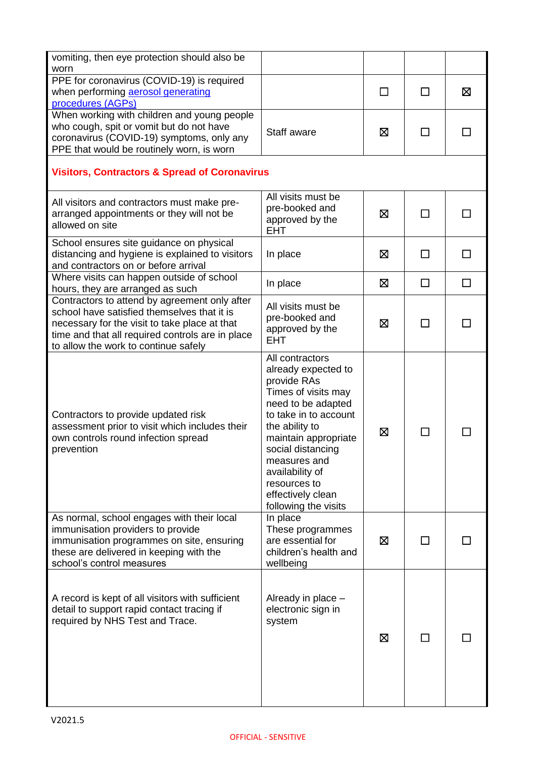| vomiting, then eye protection should also be<br>worn                                                                                                                                                                                      |                                                                                                                                                                                                                                                                                            |        |                |   |
|-------------------------------------------------------------------------------------------------------------------------------------------------------------------------------------------------------------------------------------------|--------------------------------------------------------------------------------------------------------------------------------------------------------------------------------------------------------------------------------------------------------------------------------------------|--------|----------------|---|
| PPE for coronavirus (COVID-19) is required<br>when performing aerosol generating<br>procedures (AGPs)                                                                                                                                     |                                                                                                                                                                                                                                                                                            | $\Box$ | П              | ⊠ |
| When working with children and young people<br>who cough, spit or vomit but do not have<br>coronavirus (COVID-19) symptoms, only any<br>PPE that would be routinely worn, is worn                                                         | Staff aware                                                                                                                                                                                                                                                                                | 区      |                |   |
| <b>Visitors, Contractors &amp; Spread of Coronavirus</b>                                                                                                                                                                                  |                                                                                                                                                                                                                                                                                            |        |                |   |
| All visitors and contractors must make pre-<br>arranged appointments or they will not be<br>allowed on site                                                                                                                               | All visits must be<br>pre-booked and<br>approved by the<br><b>EHT</b>                                                                                                                                                                                                                      | ⊠      |                |   |
| School ensures site guidance on physical<br>distancing and hygiene is explained to visitors<br>and contractors on or before arrival                                                                                                       | In place                                                                                                                                                                                                                                                                                   | ⊠      | П              |   |
| Where visits can happen outside of school<br>hours, they are arranged as such                                                                                                                                                             | In place                                                                                                                                                                                                                                                                                   | ⊠      | П              | □ |
| Contractors to attend by agreement only after<br>school have satisfied themselves that it is<br>necessary for the visit to take place at that<br>time and that all required controls are in place<br>to allow the work to continue safely | All visits must be<br>pre-booked and<br>approved by the<br><b>EHT</b>                                                                                                                                                                                                                      | ⊠      | $\blacksquare$ |   |
| Contractors to provide updated risk<br>assessment prior to visit which includes their<br>own controls round infection spread<br>prevention                                                                                                | All contractors<br>already expected to<br>provide RAs<br>Times of visits may<br>need to be adapted<br>to take in to account<br>the ability to<br>maintain appropriate<br>social distancing<br>measures and<br>availability of<br>resources to<br>effectively clean<br>following the visits | ⊠      |                |   |
| As normal, school engages with their local<br>immunisation providers to provide<br>immunisation programmes on site, ensuring<br>these are delivered in keeping with the<br>school's control measures                                      | In place<br>These programmes<br>are essential for<br>children's health and<br>wellbeing                                                                                                                                                                                                    | ⊠      |                |   |
| A record is kept of all visitors with sufficient<br>detail to support rapid contact tracing if<br>required by NHS Test and Trace.                                                                                                         | Already in place -<br>electronic sign in<br>system                                                                                                                                                                                                                                         | ⊠      | $\mathsf{L}$   |   |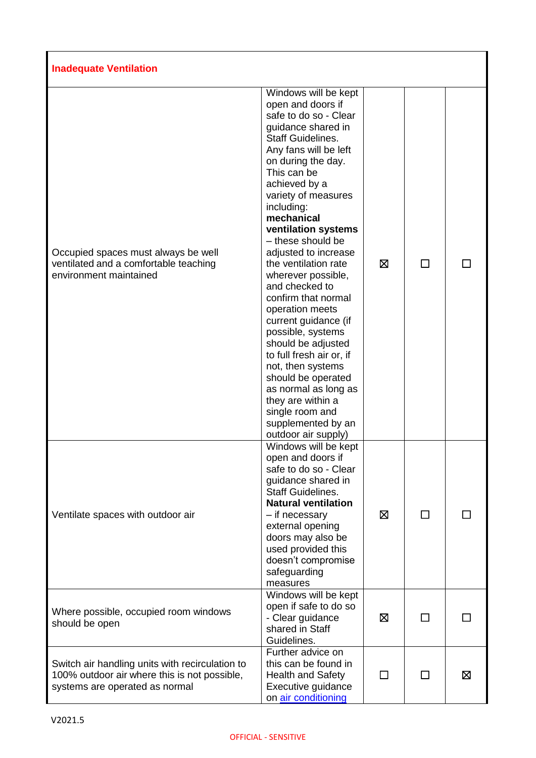| <b>Inadequate Ventilation</b>                                                                                                     |                                                                                                                                                                                                                                                                                                                                                                                                                                                                                                                                                                                                                                                                                             |              |              |   |
|-----------------------------------------------------------------------------------------------------------------------------------|---------------------------------------------------------------------------------------------------------------------------------------------------------------------------------------------------------------------------------------------------------------------------------------------------------------------------------------------------------------------------------------------------------------------------------------------------------------------------------------------------------------------------------------------------------------------------------------------------------------------------------------------------------------------------------------------|--------------|--------------|---|
| Occupied spaces must always be well<br>ventilated and a comfortable teaching<br>environment maintained                            | Windows will be kept<br>open and doors if<br>safe to do so - Clear<br>guidance shared in<br><b>Staff Guidelines.</b><br>Any fans will be left<br>on during the day.<br>This can be<br>achieved by a<br>variety of measures<br>including:<br>mechanical<br>ventilation systems<br>- these should be<br>adjusted to increase<br>the ventilation rate<br>wherever possible,<br>and checked to<br>confirm that normal<br>operation meets<br>current guidance (if<br>possible, systems<br>should be adjusted<br>to full fresh air or, if<br>not, then systems<br>should be operated<br>as normal as long as<br>they are within a<br>single room and<br>supplemented by an<br>outdoor air supply) | ⊠            |              |   |
| Ventilate spaces with outdoor air                                                                                                 | Windows will be kept<br>open and doors if<br>safe to do so - Clear<br>guidance shared in<br><b>Staff Guidelines.</b><br><b>Natural ventilation</b><br>- if necessary<br>external opening<br>doors may also be<br>used provided this<br>doesn't compromise<br>safeguarding<br>measures                                                                                                                                                                                                                                                                                                                                                                                                       | ⊠            | □            |   |
| Where possible, occupied room windows<br>should be open                                                                           | Windows will be kept<br>open if safe to do so<br>- Clear guidance<br>shared in Staff<br>Guidelines.                                                                                                                                                                                                                                                                                                                                                                                                                                                                                                                                                                                         | ⊠            | $\Box$       |   |
| Switch air handling units with recirculation to<br>100% outdoor air where this is not possible,<br>systems are operated as normal | Further advice on<br>this can be found in<br><b>Health and Safety</b><br>Executive guidance<br>on air conditioning                                                                                                                                                                                                                                                                                                                                                                                                                                                                                                                                                                          | $\mathsf{L}$ | $\mathsf{L}$ | ⊠ |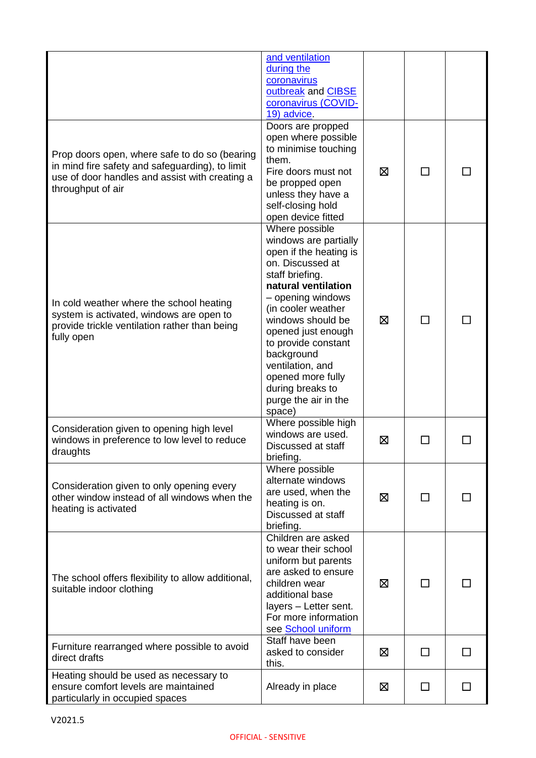|                                                                                                                                                                         | and ventilation<br>during the<br>coronavirus<br>outbreak and CIBSE<br>coronavirus (COVID-<br>19) advice.                                                                                                                                                                                                                                                  |   |        |  |
|-------------------------------------------------------------------------------------------------------------------------------------------------------------------------|-----------------------------------------------------------------------------------------------------------------------------------------------------------------------------------------------------------------------------------------------------------------------------------------------------------------------------------------------------------|---|--------|--|
| Prop doors open, where safe to do so (bearing<br>in mind fire safety and safeguarding), to limit<br>use of door handles and assist with creating a<br>throughput of air | Doors are propped<br>open where possible<br>to minimise touching<br>them.<br>Fire doors must not<br>be propped open<br>unless they have a<br>self-closing hold<br>open device fitted                                                                                                                                                                      | ⊠ | $\Box$ |  |
| In cold weather where the school heating<br>system is activated, windows are open to<br>provide trickle ventilation rather than being<br>fully open                     | Where possible<br>windows are partially<br>open if the heating is<br>on. Discussed at<br>staff briefing.<br>natural ventilation<br>- opening windows<br>(in cooler weather<br>windows should be<br>opened just enough<br>to provide constant<br>background<br>ventilation, and<br>opened more fully<br>during breaks to<br>purge the air in the<br>space) | 区 |        |  |
| Consideration given to opening high level<br>windows in preference to low level to reduce<br>draughts                                                                   | Where possible high<br>windows are used.<br>Discussed at staff<br>briefing.                                                                                                                                                                                                                                                                               | 区 |        |  |
| Consideration given to only opening every<br>other window instead of all windows when the<br>heating is activated                                                       | Where possible<br>alternate windows<br>are used, when the<br>heating is on.<br>Discussed at staff<br>briefing.                                                                                                                                                                                                                                            | ⊠ |        |  |
| The school offers flexibility to allow additional,<br>suitable indoor clothing                                                                                          | Children are asked<br>to wear their school<br>uniform but parents<br>are asked to ensure<br>children wear<br>additional base<br>layers - Letter sent.<br>For more information<br>see School uniform                                                                                                                                                       | ⊠ | П      |  |
| Furniture rearranged where possible to avoid<br>direct drafts                                                                                                           | Staff have been<br>asked to consider<br>this.                                                                                                                                                                                                                                                                                                             | 区 | П      |  |
| Heating should be used as necessary to<br>ensure comfort levels are maintained<br>particularly in occupied spaces                                                       | Already in place                                                                                                                                                                                                                                                                                                                                          | ⊠ | П      |  |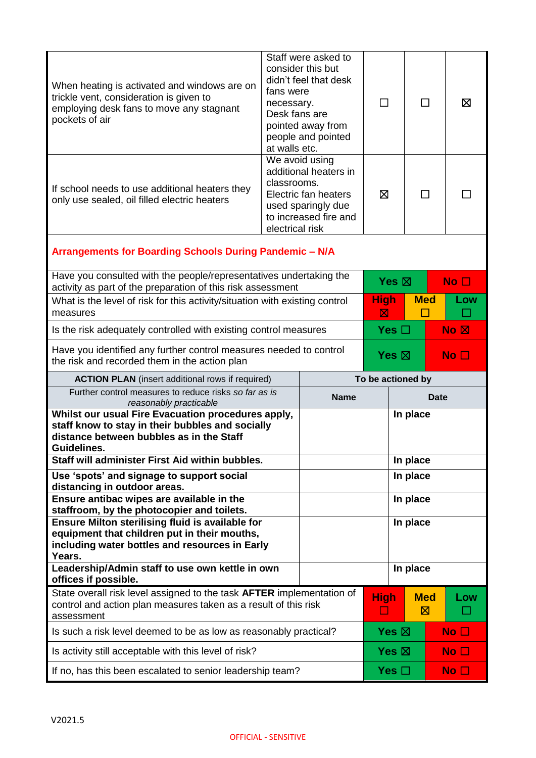| When heating is activated and windows are on<br>trickle vent, consideration is given to<br>employing desk fans to move any stagnant<br>pockets of air                          | Staff were asked to<br>consider this but<br>didn't feel that desk<br>fans were<br>necessary.<br>Desk fans are<br>pointed away from<br>people and pointed<br>at walls etc. |                                                                                                                | ΙI                |          | ΙI              | ⊠               |
|--------------------------------------------------------------------------------------------------------------------------------------------------------------------------------|---------------------------------------------------------------------------------------------------------------------------------------------------------------------------|----------------------------------------------------------------------------------------------------------------|-------------------|----------|-----------------|-----------------|
| If school needs to use additional heaters they<br>only use sealed, oil filled electric heaters                                                                                 | classrooms.<br>electrical risk                                                                                                                                            | We avoid using<br>additional heaters in<br>Electric fan heaters<br>used sparingly due<br>to increased fire and | ⊠                 |          | $\mathsf{L}$    |                 |
| Arrangements for Boarding Schools During Pandemic - N/A                                                                                                                        |                                                                                                                                                                           |                                                                                                                |                   |          |                 |                 |
| Have you consulted with the people/representatives undertaking the<br>activity as part of the preparation of this risk assessment                                              |                                                                                                                                                                           |                                                                                                                | Yes $\boxtimes$   |          |                 | No <sub>1</sub> |
| What is the level of risk for this activity/situation with existing control<br>measures                                                                                        |                                                                                                                                                                           | <b>High</b><br>⊠                                                                                               | <b>Med</b>        |          | Low             |                 |
| Is the risk adequately controlled with existing control measures                                                                                                               |                                                                                                                                                                           | Yes $\Box$<br>$\overline{\mathsf{No}}$ $\overline{\mathsf{N}}$                                                 |                   |          |                 |                 |
| Have you identified any further control measures needed to control<br>the risk and recorded them in the action plan                                                            |                                                                                                                                                                           | Yes $\boxtimes$<br>No $\square$                                                                                |                   |          |                 |                 |
|                                                                                                                                                                                |                                                                                                                                                                           |                                                                                                                |                   |          |                 |                 |
| <b>ACTION PLAN</b> (insert additional rows if required)                                                                                                                        |                                                                                                                                                                           |                                                                                                                | To be actioned by |          |                 |                 |
| Further control measures to reduce risks so far as is<br>reasonably practicable                                                                                                |                                                                                                                                                                           | <b>Name</b>                                                                                                    |                   |          | <b>Date</b>     |                 |
| Whilst our usual Fire Evacuation procedures apply,<br>staff know to stay in their bubbles and socially<br>distance between bubbles as in the Staff<br>Guidelines.              |                                                                                                                                                                           |                                                                                                                |                   | In place |                 |                 |
| Staff will administer First Aid within bubbles.                                                                                                                                |                                                                                                                                                                           |                                                                                                                |                   | In place |                 |                 |
| Use 'spots' and signage to support social                                                                                                                                      |                                                                                                                                                                           |                                                                                                                |                   | In place |                 |                 |
| distancing in outdoor areas.<br>Ensure antibac wipes are available in the                                                                                                      |                                                                                                                                                                           |                                                                                                                |                   | In place |                 |                 |
| staffroom, by the photocopier and toilets.<br>Ensure Milton sterilising fluid is available for<br>equipment that children put in their mouths,                                 |                                                                                                                                                                           |                                                                                                                |                   | In place |                 |                 |
| including water bottles and resources in Early<br>Years.                                                                                                                       |                                                                                                                                                                           |                                                                                                                |                   |          |                 |                 |
| Leadership/Admin staff to use own kettle in own                                                                                                                                |                                                                                                                                                                           |                                                                                                                |                   | In place |                 |                 |
| offices if possible.<br>State overall risk level assigned to the task AFTER implementation of<br>control and action plan measures taken as a result of this risk<br>assessment |                                                                                                                                                                           |                                                                                                                | <b>High</b><br>ப  |          | <b>Med</b><br>図 | Low             |
| Is such a risk level deemed to be as low as reasonably practical?                                                                                                              |                                                                                                                                                                           |                                                                                                                | Yes $\boxtimes$   |          |                 | No $\square$    |
| Is activity still acceptable with this level of risk?                                                                                                                          |                                                                                                                                                                           |                                                                                                                | Yes $\boxtimes$   |          |                 | No $\Box$       |